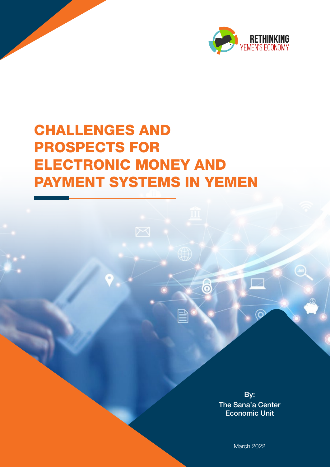

# CHALLENGES AND PROSPECTS FOR ELECTRONIC MONEY AND PAYMENT SYSTEMS IN YEMEN

By: The Sana'a Center Economic Unit

6

March 2022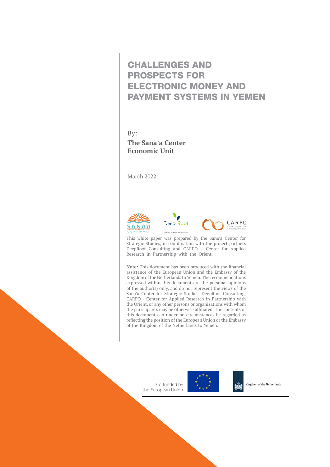### CHALLENGES AND PROSPECTS FOR ELECTRONIC MONEY AND PAYMENT SYSTEMS IN YEMEN

By: **The Sana'a Center Economic Unit**

March 2022







This white paper was prepared by the Sana'a Center for Strategic Studies, in coordination with the project partners DeepRoot Consulting and CARPO – Center for Applied Research in Partnership with the Orient.

**Note:** This document has been produced with the financial assistance of the European Union and the Embassy of the Kingdom of the Netherlands to Yemen. The recommendations expressed within this document are the personal opinions of the author(s) only, and do not represent the views of the Sana'a Center for Strategic Studies, DeepRoot Consulting, CARPO - Center for Applied Research in Partnership with the Orient, or any other persons or organizations with whom the participants may be otherwise affiliated. The contents of this document can under no circumstances be regarded as reflecting the position of the European Union or the Embassy of the Kingdom of the Netherlands to Yemen.

> Co-funded by the European Union



Kingdom of the Netherlands

ХūХ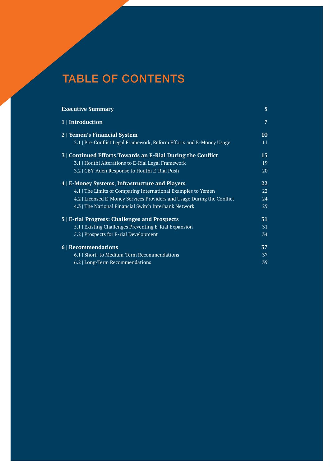# TABLE OF CONTENTS

| <b>Executive Summary</b>                                                | 5              |
|-------------------------------------------------------------------------|----------------|
| 1   Introduction                                                        | $\overline{7}$ |
| 2   Yemen's Financial System                                            | 10             |
| 2.1   Pre-Conflict Legal Framework, Reform Efforts and E-Money Usage    | 11             |
| 3   Continued Efforts Towards an E-Rial During the Conflict             | 15             |
| 3.1   Houthi Alterations to E-Rial Legal Framework                      | 19             |
| 3.2   CBY-Aden Response to Houthi E-Rial Push                           | 20             |
| 4   E-Money Systems, Infrastructure and Players                         | 22             |
| 4.1   The Limits of Comparing International Examples to Yemen           | 22             |
| 4.2   Licensed E-Money Services Providers and Usage During the Conflict | 24             |
| 4.3   The National Financial Switch Interbank Network                   | 29             |
| 5   E-rial Progress: Challenges and Prospects                           | 31             |
| 5.1   Existing Challenges Preventing E-Rial Expansion                   | 31             |
| 5.2   Prospects for E-rial Development                                  | 34             |
| 6   Recommendations                                                     | 37             |
| 6.1   Short- to Medium-Term Recommendations                             | 37             |
| 6.2   Long-Term Recommendations                                         | 39             |

CHALLENGES AND PROSPECTS FOR ELECTRONIC MONEY AND PAYMENT SYSTEMS IN YEMEN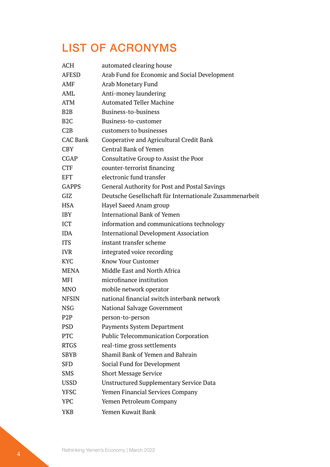## LIST OF ACRONYMS

| <b>ACH</b>       | automated clearing house                                |
|------------------|---------------------------------------------------------|
| <b>AFESD</b>     | Arab Fund for Economic and Social Development           |
| <b>AMF</b>       | Arab Monetary Fund                                      |
| AML              | Anti-money laundering                                   |
| <b>ATM</b>       | <b>Automated Teller Machine</b>                         |
| B <sub>2</sub> B | Business-to-business                                    |
| B <sub>2</sub> C | Business-to-customer                                    |
| C2B              | customers to businesses                                 |
| <b>CAC Bank</b>  | Cooperative and Agricultural Credit Bank                |
| <b>CBY</b>       | <b>Central Bank of Yemen</b>                            |
| <b>CGAP</b>      | Consultative Group to Assist the Poor                   |
| <b>CTF</b>       | counter-terrorist financing                             |
| <b>EFT</b>       | electronic fund transfer                                |
| <b>GAPPS</b>     | <b>General Authority for Post and Postal Savings</b>    |
| GIZ              | Deutsche Gesellschaft für Internationale Zusammenarbeit |
| <b>HSA</b>       | Hayel Saeed Anam group                                  |
| <b>IBY</b>       | <b>International Bank of Yemen</b>                      |
| <b>ICT</b>       | information and communications technology               |
| <b>IDA</b>       | <b>International Development Association</b>            |
| <b>ITS</b>       | instant transfer scheme                                 |
| <b>IVR</b>       | integrated voice recording                              |
| <b>KYC</b>       | <b>Know Your Customer</b>                               |
| <b>MENA</b>      | Middle East and North Africa                            |
| <b>MFI</b>       | microfinance institution                                |
| <b>MNO</b>       | mobile network operator                                 |
| <b>NFSIN</b>     | national financial switch interbank network             |
| <b>NSG</b>       | National Salvage Government                             |
| P <sub>2</sub> P | person-to-person                                        |
| <b>PSD</b>       | Payments System Department                              |
| <b>PTC</b>       | <b>Public Telecommunication Corporation</b>             |
| <b>RTGS</b>      | real-time gross settlements                             |
| <b>SBYB</b>      | Shamil Bank of Yemen and Bahrain                        |
| <b>SFD</b>       | Social Fund for Development                             |
| <b>SMS</b>       | <b>Short Message Service</b>                            |
| <b>USSD</b>      | <b>Unstructured Supplementary Service Data</b>          |
| <b>YFSC</b>      | Yemen Financial Services Company                        |
| <b>YPC</b>       | Yemen Petroleum Company                                 |
| <b>YKB</b>       | Yemen Kuwait Bank                                       |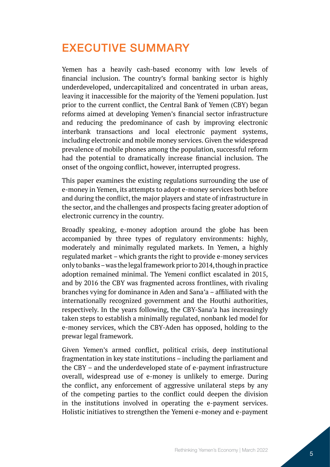### <span id="page-4-0"></span>EXECUTIVE SUMMARY

Yemen has a heavily cash-based economy with low levels of financial inclusion. The country's formal banking sector is highly underdeveloped, undercapitalized and concentrated in urban areas, leaving it inaccessible for the majority of the Yemeni population. Just prior to the current conflict, the Central Bank of Yemen (CBY) began reforms aimed at developing Yemen's financial sector infrastructure and reducing the predominance of cash by improving electronic interbank transactions and local electronic payment systems, including electronic and mobile money services. Given the widespread prevalence of mobile phones among the population, successful reform had the potential to dramatically increase financial inclusion. The onset of the ongoing conflict, however, interrupted progress.

This paper examines the existing regulations surrounding the use of e-money in Yemen, its attempts to adopt e-money services both before and during the conflict, the major players and state of infrastructure in the sector, and the challenges and prospects facing greater adoption of electronic currency in the country.

Broadly speaking, e-money adoption around the globe has been accompanied by three types of regulatory environments: highly, moderately and minimally regulated markets. In Yemen, a highly regulated market – which grants the right to provide e-money services only to banks – was the legal framework prior to 2014, though in practice adoption remained minimal. The Yemeni conflict escalated in 2015, and by 2016 the CBY was fragmented across frontlines, with rivaling branches vying for dominance in Aden and Sana'a – affiliated with the internationally recognized government and the Houthi authorities, respectively. In the years following, the CBY-Sana'a has increasingly taken steps to establish a minimally regulated, nonbank led model for e-money services, which the CBY-Aden has opposed, holding to the prewar legal framework.

Given Yemen's armed conflict, political crisis, deep institutional fragmentation in key state institutions – including the parliament and the CBY – and the underdeveloped state of e-payment infrastructure overall, widespread use of e-money is unlikely to emerge. During the conflict, any enforcement of aggressive unilateral steps by any of the competing parties to the conflict could deepen the division in the institutions involved in operating the e-payment services. Holistic initiatives to strengthen the Yemeni e-money and e-payment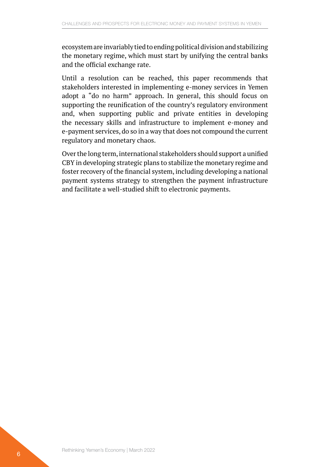ecosystem are invariably tied to ending political division and stabilizing the monetary regime, which must start by unifying the central banks and the official exchange rate.

Until a resolution can be reached, this paper recommends that stakeholders interested in implementing e-money services in Yemen adopt a "do no harm" approach. In general, this should focus on supporting the reunification of the country's regulatory environment and, when supporting public and private entities in developing the necessary skills and infrastructure to implement e-money and e-payment services, do so in a way that does not compound the current regulatory and monetary chaos.

Over the long term, international stakeholders should support a unified CBY in developing strategic plans to stabilize the monetary regime and foster recovery of the financial system, including developing a national payment systems strategy to strengthen the payment infrastructure and facilitate a well-studied shift to electronic payments.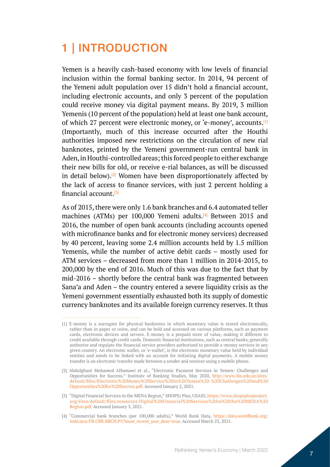# <span id="page-6-0"></span>1 | INTRODUCTION

Yemen is a heavily cash-based economy with low levels of financial inclusion within the formal banking sector. In 2014, 94 percent of the Yemeni adult population over 15 didn't hold a financial account, including electronic accounts, and only 3 percent of the population could receive money via digital payment means. By 2019, 3 million Yemenis (10 percent of the population) held at least one bank account, of which 27 percent were electronic money, or 'e-money', accounts.[1] (Importantly, much of this increase occurred after the Houthi authorities imposed new restrictions on the circulation of new rial banknotes, printed by the Yemeni government-run central bank in Aden, in Houthi-controlled areas; this forced people to either exchange their new bills for old, or receive e-rial balances, as will be discussed in detail below).<sup>[2]</sup> Women have been disproportionately affected by the lack of access to finance services, with just 2 percent holding a financial account.[3]

As of 2015, there were only 1.6 bank branches and 6.4 automated teller machines (ATMs) per 100,000 Yemeni adults.<sup>[4]</sup> Between 2015 and 2016, the number of open bank accounts (including accounts opened with microfinance banks and for electronic money services) decreased by 40 percent, leaving some 2.4 million accounts held by 1.5 million Yemenis, while the number of active debit cards – mostly used for ATM services – decreased from more than 1 million in 2014-2015, to 200,000 by the end of 2016. Much of this was due to the fact that by mid-2016 – shortly before the central bank was fragmented between Sana'a and Aden – the country entered a severe liquidity crisis as the Yemeni government essentially exhausted both its supply of domestic currency banknotes and its available foreign currency reserves. It thus

<sup>[1]</sup> E-money is a surrogate for physical banknotes in which monetary value is stored electronically, rather than in paper or coins, and can be held and accessed on various platforms, such as payment cards, electronic devices and servers. E-money is a prepaid store of value, making it different to credit available through credit cards. Domestic financial institutions, such as central banks, generally authorize and regulate the financial service providers authorized to provide e-money services in any given country. An electronic wallet, or 'e-wallet', is the electronic monetary value held by individual entities and needs to be linked with an account for initiating digital payments. A mobile money transfer is an electronic transfer made between a sender and receiver using a mobile phone.

<sup>[2]</sup> Abdulghani Mohamed AlSamawi et al., "Electronic Payment Services in Yemen: Challenges and Opportunities for Success," Institute of Banking Studies, May 2020, [http://www.ibs.edu.ye/sites/](http://www.ibs.edu.ye/sites/default/files/Electronic%20Money%20Service%20in%20Yemen%20-%20Challenges%20and%20Opportunities%20for%20Success.pdf) [default/files/Electronic%20Money%20Service%20in%20Yemen%20-%20Challenges%20and%20](http://www.ibs.edu.ye/sites/default/files/Electronic%20Money%20Service%20in%20Yemen%20-%20Challenges%20and%20Opportunities%20for%20Success.pdf) [Opportunities%20for%20Success.pdf](http://www.ibs.edu.ye/sites/default/files/Electronic%20Money%20Service%20in%20Yemen%20-%20Challenges%20and%20Opportunities%20for%20Success.pdf). Accessed January 2, 2021.

<sup>[3]</sup> "Digital Financial Services in the MENA Region," SHOPS) Plus, USAID, [https://www.shopsplusproject.](https://www.shopsplusproject.org/sites/default/files/resources/Digital%20Financial%20Services%20in%20the%20MENA%20Region.pdf) [org/sites/default/files/resources/Digital%20Financial%20Services%20in%20the%20MENA%20](https://www.shopsplusproject.org/sites/default/files/resources/Digital%20Financial%20Services%20in%20the%20MENA%20Region.pdf) [Region.pdf](https://www.shopsplusproject.org/sites/default/files/resources/Digital%20Financial%20Services%20in%20the%20MENA%20Region.pdf). Accessed January 3, 2021.

<sup>[4]</sup> "Commercial bank branches (per 100,000 adults)," World Bank Data, [https://data.worldbank.org/](https://data.worldbank.org/indicator/FB.CBK.BRCH.P5?most_recent_year_desc=true) [indicator/FB.CBK.BRCH.P5?most\\_recent\\_year\\_desc=true](https://data.worldbank.org/indicator/FB.CBK.BRCH.P5?most_recent_year_desc=true). Accessed March 23, 2021.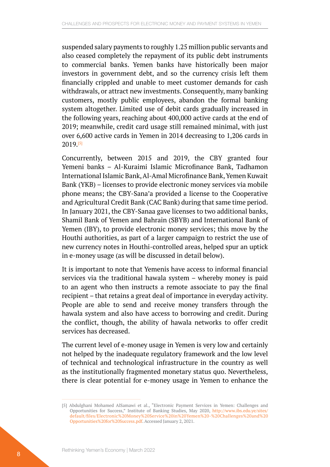suspended salary payments to roughly 1.25 million public servants and also ceased completely the repayment of its public debt instruments to commercial banks. Yemen banks have historically been major investors in government debt, and so the currency crisis left them financially crippled and unable to meet customer demands for cash withdrawals, or attract new investments. Consequently, many banking customers, mostly public employees, abandon the formal banking system altogether. Limited use of debit cards gradually increased in the following years, reaching about 400,000 active cards at the end of 2019; meanwhile, credit card usage still remained minimal, with just over 6,600 active cards in Yemen in 2014 decreasing to 1,206 cards in 2019.[5]

Concurrently, between 2015 and 2019, the CBY granted four Yemeni banks – Al-Kuraimi Islamic Microfinance Bank, Tadhamon International Islamic Bank, Al-Amal Microfinance Bank, Yemen Kuwait Bank (YKB) – licenses to provide electronic money services via mobile phone means; the CBY-Sana'a provided a license to the Cooperative and Agricultural Credit Bank (CAC Bank) during that same time period. In January 2021, the CBY-Sanaa gave licenses to two additional banks, Shamil Bank of Yemen and Bahrain (SBYB) and International Bank of Yemen (IBY), to provide electronic money services; this move by the Houthi authorities, as part of a larger campaign to restrict the use of new currency notes in Houthi-controlled areas, helped spur an uptick in e-money usage (as will be discussed in detail below).

It is important to note that Yemenis have access to informal financial services via the traditional hawala system – whereby money is paid to an agent who then instructs a remote associate to pay the final recipient – that retains a great deal of importance in everyday activity. People are able to send and receive money transfers through the hawala system and also have access to borrowing and credit. During the conflict, though, the ability of hawala networks to offer credit services has decreased.

The current level of e-money usage in Yemen is very low and certainly not helped by the inadequate regulatory framework and the low level of technical and technological infrastructure in the country as well as the institutionally fragmented monetary status quo. Nevertheless, there is clear potential for e-money usage in Yemen to enhance the

<sup>[5]</sup> Abdulghani Mohamed AlSamawi et al., "Electronic Payment Services in Yemen: Challenges and Opportunities for Success," Institute of Banking Studies, May 2020, [http://www.ibs.edu.ye/sites/](http://www.ibs.edu.ye/sites/default/files/Electronic%20Money%20Service%20in%20Yemen%20-%20Challenges%20and%20Opportunities%20for%20Success.pdf) [default/files/Electronic%20Money%20Service%20in%20Yemen%20-%20Challenges%20and%20](http://www.ibs.edu.ye/sites/default/files/Electronic%20Money%20Service%20in%20Yemen%20-%20Challenges%20and%20Opportunities%20for%20Success.pdf) [Opportunities%20for%20Success.pdf](http://www.ibs.edu.ye/sites/default/files/Electronic%20Money%20Service%20in%20Yemen%20-%20Challenges%20and%20Opportunities%20for%20Success.pdf). Accessed January 2, 2021.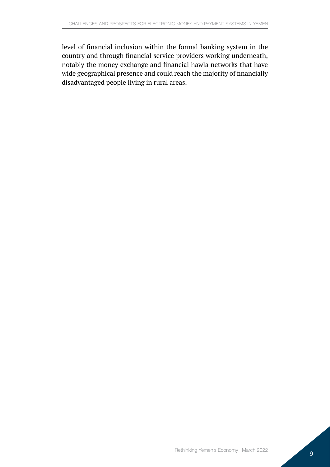level of financial inclusion within the formal banking system in the country and through financial service providers working underneath, notably the money exchange and financial hawla networks that have wide geographical presence and could reach the majority of financially disadvantaged people living in rural areas.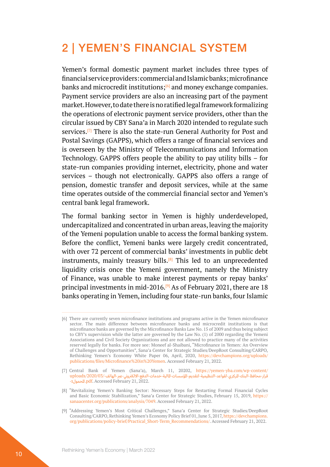### <span id="page-9-0"></span>2 | YEMEN'S FINANCIAL SYSTEM

Yemen's formal domestic payment market includes three types of financial service providers: commercial and Islamic banks; microfinance banks and microcredit institutions; $[6]$  and money exchange companies. Payment service providers are also an increasing part of the payment market. However, to date there is no ratified legal framework formalizing the operations of electronic payment service providers, other than the circular issued by CBY Sana'a in March 2020 intended to regulate such services.[7] There is also the state-run General Authority for Post and Postal Savings (GAPPS), which offers a range of financial services and is overseen by the Ministry of Telecommunications and Information Technology. GAPPS offers people the ability to pay utility bills – for state-run companies providing internet, electricity, phone and water services – though not electronically. GAPPS also offers a range of pension, domestic transfer and deposit services, while at the same time operates outside of the commercial financial sector and Yemen's central bank legal framework.

The formal banking sector in Yemen is highly underdeveloped, undercapitalized and concentrated in urban areas, leaving the majority of the Yemeni population unable to access the formal banking system. Before the conflict, Yemeni banks were largely credit concentrated, with over 72 percent of commercial banks' investments in public debt instruments, mainly treasury bills.<sup>[8]</sup> This led to an unprecedented liquidity crisis once the Yemeni government, namely the Ministry of Finance, was unable to make interest payments or repay banks' principal investments in mid-2016.<sup>[9]</sup> As of February 2021, there are 18 banks operating in Yemen, including four state-run banks, four Islamic

<sup>[6]</sup> There are currently seven microfinance institutions and programs active in the Yemen microfinance sector. The main difference between microfinance banks and microcredit institutions is that microfinance banks are governed by the Microfinance Banks Law No. 15 of 2009 and thus being subject to CBY's supervision while the latter are governed by the Law No. (1) of 2000 regarding the Yemeni Associations and Civil Society Organizations and are not allowed to practice many of the activities reserved legally for banks. For more see: Moneef al-Shaibani, "Microfinance in Yemen: An Overview of Challenges and Opportunities", Sana'a Center for Strategic Studies/DeepRoot Consulting/CARPO, Rethinking Yemen's Economy White Paper 06, April, 2020, [https://devchampions.org/uploads/](https://devchampions.org/uploads/publications/files/Microfinance%20in%20Yemen) [publications/files/Microfinance%20in%20Yemen.](https://devchampions.org/uploads/publications/files/Microfinance%20in%20Yemen) Accessed February 21, 2022.

<sup>[7]</sup> Central Bank of Yemen (Sana'a), March 11, 20202, [https://yemen-yba.com/wp-content/](https://yemen-yba.com/wp-content/uploads/2020/03/قرار-محافظ-البنك-المركزي-لقواعد-التنظيمية-لتقديم-ال) قرار-محافظ-البنك-الركزي-لقواعد-التنظيمية-لتقديم-الؤسسات-الملية-خدمات-الدفع-الالكتروني-عبر-الهاتف-/2020/03/-uploads [-1املحمول](https://yemen-yba.com/wp-content/uploads/2020/03/قرار-محافظ-البنك-المركزي-لقواعد-التنظيمية-لتقديم-ال).pdf. Accessed February 21, 2022.

<sup>[8]</sup> "Revitalizing Yemen's Banking Sector: Necessary Steps for Restarting Formal Financial Cycles and Basic Economic Stabilization," Sana'a Center for Strategic Studies, February 15, 2019, [https://](https://sanaacenter.org/publications/analysis/7049) [sanaacenter.org/publications/analysis/7049](https://sanaacenter.org/publications/analysis/7049). Accessed February 21, 2022.

<sup>[9]</sup> "Addressing Yemen's Most Critical Challenges," Sana'a Center for Strategic Studies/DeepRoot Consulting/CARPO, Rethinking Yemen's Economy Policy Brief 01, June 5, 2017, [https://devchampions.](https://devchampions.org/publications/policy-brief/Practical_Short-Term_Recommendations/) [org/publications/policy-brief/Practical\\_Short-Term\\_Recommendations/](https://devchampions.org/publications/policy-brief/Practical_Short-Term_Recommendations/). Accessed February 21, 2022.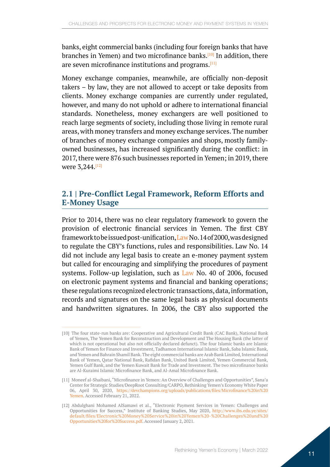<span id="page-10-0"></span>banks, eight commercial banks (including four foreign banks that have branches in Yemen) and two microfinance banks.<sup>[10]</sup> In addition, there are seven microfinance institutions and programs.<sup>[11]</sup>

Money exchange companies, meanwhile, are officially non-deposit takers – by law, they are not allowed to accept or take deposits from clients. Money exchange companies are currently under regulated, however, and many do not uphold or adhere to international financial standards. Nonetheless, money exchangers are well positioned to reach large segments of society, including those living in remote rural areas, with money transfers and money exchange services. The number of branches of money exchange companies and shops, mostly familyowned businesses, has increased significantly during the conflict: in 2017, there were 876 such businesses reported in Yemen; in 2019, there were 3,244.<sup>[12]</sup>

#### **2.1 | Pre-Conflict Legal Framework, Reform Efforts and E-Money Usage**

Prior to 2014, there was no clear regulatory framework to govern the provision of electronic financial services in Yemen. The first CBY framework to be issued post-unification, [Law](https://www.cby-ye.com/%D8%A7%D9%84%D9%82%D9%88%D8%A7%D9%86%D9%8A%D9%86-%D9%88%D8%A7%D9%84%D8%AA%D8%B4%D8%B1%D9%8A%D8%B9%D8%A7%D8%AA/) No. 14 of 2000, was designed to regulate the CBY's functions, rules and responsibilities. Law No. 14 did not include any legal basis to create an e-money payment system but called for encouraging and simplifying the procedures of payment systems. Follow-up legislation, such as [Law](http://www.coca.gov.ye/laws/85) No. 40 of 2006, focused on electronic payment systems and financial and banking operations; these regulations recognized electronic transactions, data, information, records and signatures on the same legal basis as physical documents and handwritten signatures. In 2006, the CBY also supported the

<sup>[10]</sup> The four state-run banks are: Cooperative and Agricultural Credit Bank (CAC Bank), National Bank of Yemen, The Yemen Bank for Reconstruction and Development and The Housing Bank (the latter of which is not operational but also not officially declared defunct). The four Islamic banks are Islamic Bank of Yemen for Finance and Investment, Tadhamon International Islamic Bank, Saba Islamic Bank, and Yemen and Bahrain Shamil Bank. The eight commercial banks are Arab Bank Limited, International Bank of Yemen, Qatar National Bank, Rafidan Bank, United Bank Limited, Yemen Commercial Bank, Yemen Gulf Bank, and the Yemen Kuwait Bank for Trade and Investment. The two microfinance banks are Al-Kuraimi Islamic Microfinance Bank, and Al-Amal Microfinance Bank.

<sup>[11]</sup> Moneef al-Shaibani, "Microfinance in Yemen: An Overview of Challenges and Opportunities", Sana'a Center for Strategic Studies/DeepRoot Consulting/CARPO, Rethinking Yemen's Economy White Paper 06, April 30, 2020, [https://devchampions.org/uploads/publications/files/Microfinance%20in%20](https://devchampions.org/uploads/publications/files/Microfinance%20in%20Yemen) [Yemen](https://devchampions.org/uploads/publications/files/Microfinance%20in%20Yemen). Accessed February 21, 2022.

<sup>[12]</sup> Abdulghani Mohamed AlSamawi et al., "Electronic Payment Services in Yemen: Challenges and Opportunities for Success," Institute of Banking Studies, May 2020, [http://www.ibs.edu.ye/sites/](http://www.ibs.edu.ye/sites/default/files/Electronic%20Money%20Service%20in%20Yemen%20-%20Challenges%20and%20Opportunities%20for%20Success.pdf) [default/files/Electronic%20Money%20Service%20in%20Yemen%20-%20Challenges%20and%20](http://www.ibs.edu.ye/sites/default/files/Electronic%20Money%20Service%20in%20Yemen%20-%20Challenges%20and%20Opportunities%20for%20Success.pdf) [Opportunities%20for%20Success.pdf](http://www.ibs.edu.ye/sites/default/files/Electronic%20Money%20Service%20in%20Yemen%20-%20Challenges%20and%20Opportunities%20for%20Success.pdf). Accessed January 2, 2021.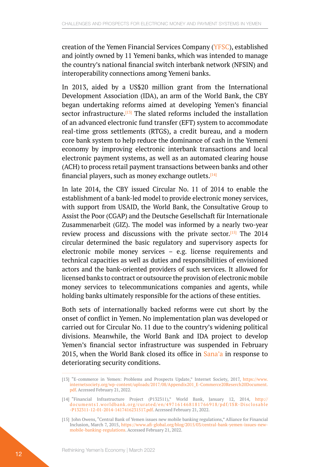creation of the Yemen Financial Services Company ([YFSC](https://www.yemenzone.com/ar_SY/slides/slide/137)), established and jointly owned by 11 Yemeni banks, which was intended to manage the country's national financial switch interbank network (NFSIN) and interoperability connections among Yemeni banks.

In 2013, aided by a US\$20 million grant from the International Development Association (IDA), an arm of the World Bank, the CBY began undertaking reforms aimed at developing Yemen's financial sector infrastructure. $[13]$  The slated reforms included the installation of an advanced electronic fund transfer (EFT) system to accommodate real-time gross settlements (RTGS), a credit bureau, and a modern core bank system to help reduce the dominance of cash in the Yemeni economy by improving electronic interbank transactions and local electronic payment systems, as well as an automated clearing house (ACH) to process retail payment transactions between banks and other financial players, such as money exchange outlets.<sup>[14]</sup>

In late 2014, the CBY issued Circular No. 11 of 2014 to enable the establishment of a bank-led model to provide electronic money services, with support from USAID, the World Bank, the Consultative Group to Assist the Poor (CGAP) and the Deutsche Gesellschaft für Internationale Zusammenarbeit (GIZ). The model was informed by a nearly two-year review process and discussions with the private sector.<sup>[15]</sup> The 2014 circular determined the basic regulatory and supervisory aspects for electronic mobile money services – e.g. license requirements and technical capacities as well as duties and responsibilities of envisioned actors and the bank-oriented providers of such services. It allowed for licensed banks to contract or outsource the provision of electronic mobile money services to telecommunications companies and agents, while holding banks ultimately responsible for the actions of these entities.

Both sets of internationally backed reforms were cut short by the onset of conflict in Yemen. No implementation plan was developed or carried out for Circular No. 11 due to the country's widening political divisions. Meanwhile, the World Bank and IDA project to develop Yemen's financial sector infrastructure was suspended in February 2015, when the World Bank closed its office in [Sana'a](https://www.worldbank.org/en/news/press-release/2015/03/11/world-bank-suspends-operations-in-yemen) in response to deteriorating security conditions.

<sup>[13]</sup> "E-commerce in Yemen: Problems and Prospects Update," Internet Society, 2017, [https://www.](https://www.internetsociety.org/wp-content/uploads/2017/08/Appendix201_E-Commerce20Reserch20Document.pdf) [internetsociety.org/wp-content/uploads/2017/08/Appendix201\\_E-Commerce20Reserch20Document.](https://www.internetsociety.org/wp-content/uploads/2017/08/Appendix201_E-Commerce20Reserch20Document.pdf) [pdf](https://www.internetsociety.org/wp-content/uploads/2017/08/Appendix201_E-Commerce20Reserch20Document.pdf). Accessed February 21, 2022.

<sup>[14]</sup> "Financial Infrastructure Project (P132311)," World Bank, January 12, 2014, [http://](http://documents1.worldbank.org/curated/en/497161468181766918/pdf/ISR-Disclosable-P132311-12-01-2014-1417416231517.pdf) [documents1.worldbank.org/curated/en/497161468181766918/pdf/ISR-Disclosable](http://documents1.worldbank.org/curated/en/497161468181766918/pdf/ISR-Disclosable-P132311-12-01-2014-1417416231517.pdf) [-P132311-12-01-2014-1417416231517.pdf](http://documents1.worldbank.org/curated/en/497161468181766918/pdf/ISR-Disclosable-P132311-12-01-2014-1417416231517.pdf). Accessed February 21, 2022.

<sup>[15]</sup> John Owens, "Central Bank of Yemen issues new mobile banking regulations," Alliance for Financial Inclusion, March 7, 2015, [https://www.afi-global.org/blog/2015/03/central-bank-yemen-issues-new](https://www.afi-global.org/blog/2015/03/central-bank-yemen-issues-new-mobile-banking-regulations)[mobile-banking-regulations](https://www.afi-global.org/blog/2015/03/central-bank-yemen-issues-new-mobile-banking-regulations). Accessed February 21, 2022.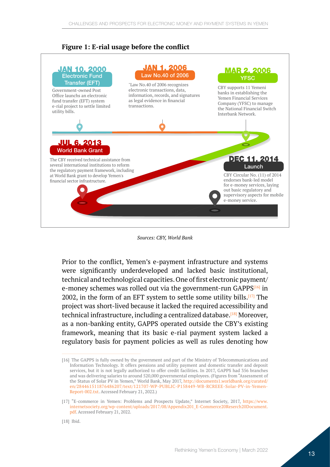#### **Figure 1: E-rial usage before the conflict**



#### *Sources: CBY, World Bank*

Prior to the conflict, Yemen's e-payment infrastructure and systems were significantly underdeveloped and lacked basic institutional, technical and technological capacities. One of first electronic payment/ e-money schemes was rolled out via the government-run GAPPS[16] in 2002, in the form of an EFT system to settle some utility bills. $[17]$  The project was short-lived because it lacked the required accessibility and technical infrastructure, including a centralized database.<sup>[18]</sup> Moreover, as a non-banking entity, GAPPS operated outside the CBY's existing framework, meaning that its basic e-rial payment system lacked a regulatory basis for payment policies as well as rules denoting how

<sup>[16]</sup> The GAPPS is fully owned by the government and part of the Ministry of Telecommunications and Information Technology. It offers pensions and utility payment and domestic transfer and deposit services, but it is not legally authorized to offer credit facilities. In 2017, GAPPS had 356 branches and was delivering salaries to around 520,000 governmental employees. (Figures from "Assessment of the Status of Solar PV in Yemen," World Bank, May 2017, [http://documents1.worldbank.org/curated/](http://documents1.worldbank.org/curated/en/284461511876486207/text/121707-WP-PUBLIC-P158449-WB-RCREEE-Solar-PV-in-Yemen-Report-002.txt) [en/284461511876486207/text/121707-WP-PUBLIC-P158449-WB-RCREEE-Solar-PV-in-Yemen-](http://documents1.worldbank.org/curated/en/284461511876486207/text/121707-WP-PUBLIC-P158449-WB-RCREEE-Solar-PV-in-Yemen-Report-002.txt)[Report-002.txt](http://documents1.worldbank.org/curated/en/284461511876486207/text/121707-WP-PUBLIC-P158449-WB-RCREEE-Solar-PV-in-Yemen-Report-002.txt). Accessed February 21, 2022.)

<sup>[17]</sup> "E-commerce in Yemen: Problems and Prospects Update," Internet Society, 2017, [https://www.](https://www.internetsociety.org/wp-content/uploads/2017/08/Appendix201_E-Commerce20Reserch20Document.pdf) [internetsociety.org/wp-content/uploads/2017/08/Appendix201\\_E-Commerce20Reserch20Document.](https://www.internetsociety.org/wp-content/uploads/2017/08/Appendix201_E-Commerce20Reserch20Document.pdf) [pdf](https://www.internetsociety.org/wp-content/uploads/2017/08/Appendix201_E-Commerce20Reserch20Document.pdf). Accessed February 21, 2022.

<sup>[18]</sup> Ibid.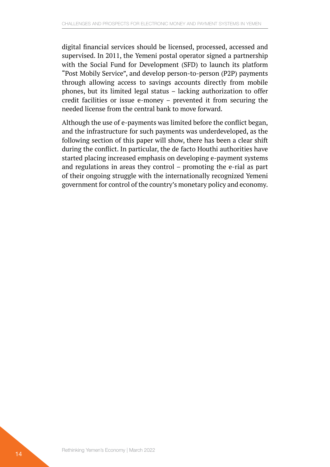digital financial services should be licensed, processed, accessed and supervised. In 2011, the Yemeni postal operator signed a partnership with the Social Fund for Development (SFD) to launch its platform "Post Mobily Service", and develop person-to-person (P2P) payments through allowing access to savings accounts directly from mobile phones, but its limited legal status – lacking authorization to offer credit facilities or issue e-money – prevented it from securing the needed license from the central bank to move forward.

Although the use of e-payments was limited before the conflict began, and the infrastructure for such payments was underdeveloped, as the following section of this paper will show, there has been a clear shift during the conflict. In particular, the de facto Houthi authorities have started placing increased emphasis on developing e-payment systems and regulations in areas they control – promoting the e-rial as part of their ongoing struggle with the internationally recognized Yemeni government for control of the country's monetary policy and economy.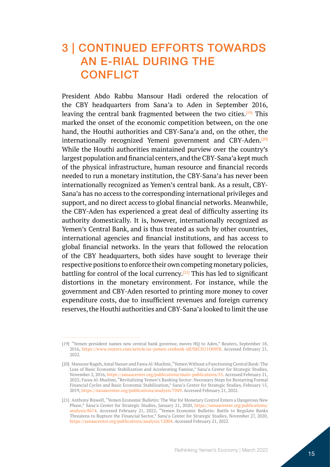### <span id="page-14-0"></span>3 | CONTINUED EFFORTS TOWARDS AN E-RIAL DURING THE **CONFLICT**

President Abdo Rabbu Mansour Hadi ordered the relocation of the CBY headquarters from Sana'a to Aden in September 2016, leaving the central bank fragmented between the two cities.<sup>[19]</sup> This marked the onset of the economic competition between, on the one hand, the Houthi authorities and CBY-Sana'a and, on the other, the internationally recognized Yemeni government and CBY-Aden.<sup>[20]</sup> While the Houthi authorities maintained purview over the country's largest population and financial centers, and the CBY-Sana'a kept much of the physical infrastructure, human resource and financial records needed to run a monetary institution, the CBY-Sana'a has never been internationally recognized as Yemen's central bank. As a result, CBY-Sana'a has no access to the corresponding international privileges and support, and no direct access to global financial networks. Meanwhile, the CBY-Aden has experienced a great deal of difficulty asserting its authority domestically. It is, however, internationally recognized as Yemen's Central Bank, and is thus treated as such by other countries, international agencies and financial institutions, and has access to global financial networks. In the years that followed the relocation of the CBY headquarters, both sides have sought to leverage their respective positions to enforce their own competing monetary policies, battling for control of the local currency.<sup>[21]</sup> This has led to significant distortions in the monetary environment. For instance, while the government and CBY-Aden resorted to printing more money to cover expenditure costs, due to insufficient revenues and foreign currency reserves, the Houthi authorities and CBY-Sana'a looked to limit the use

<sup>[19]</sup> "Yemen president names new central bank governor, moves HQ to Aden," Reuters, September 18, 2016, <https://www.reuters.com/article/us-yemen-cenbank-idUSKCN11O0WB>. Accessed February 21, 2022.

<sup>[20]</sup> Mansour Rageh, Amal Nasser and Farea Al-Muslimi, "Yemen Without a Functioning Central Bank: The Loss of Basic Economic Stabilization and Accelerating Famine," Sana'a Center for Strategic Studies, November 2, 2016, <https://sanaacenter.org/publications/main-publications/55>. Accessed February 21, 2022; Farea Al-Muslimi, "Revitalizing Yemen's Banking Sector: Necessary Steps for Restarting Formal Financial Cycles and Basic Economic Stabilization," Sana'a Center for Strategic Studies, February 15, 2019, [https://sanaacenter.org/publications/analysis/7049.](https://sanaacenter.org/publications/analysis/7049) Accessed February 21, 2022.

<sup>[21]</sup> Anthony Biswell, "Yemen Economic Bulletin: The War for Monetary Control Enters a Dangerous New Phase," Sana'a Center for Strategic Studies, January 21, 2020, [https://sanaacenter.org/publications/](https://sanaacenter.org/publications/analysis/8674) [analysis/8674](https://sanaacenter.org/publications/analysis/8674). Accessed February 21, 2022; "Yemen Economic Bulletin: Battle to Regulate Banks Threatens to Rupture the Financial Sector," Sana'a Center for Strategic Studies, November 27, 2020, <https://sanaacenter.org/publications/analysis/12004>. Accessed February 21, 2022.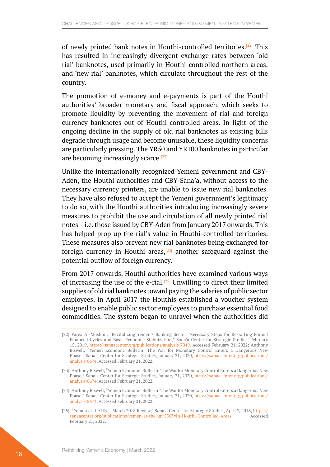of newly printed bank notes in Houthi-controlled territories.<sup>[22]</sup> This has resulted in increasingly divergent exchange rates between 'old rial' banknotes, used primarily in Houthi-controlled northern areas, and 'new rial' banknotes, which circulate throughout the rest of the country.

The promotion of e-money and e-payments is part of the Houthi authorities' broader monetary and fiscal approach, which seeks to promote liquidity by preventing the movement of rial and foreign currency banknotes out of Houthi-controlled areas. In light of the ongoing decline in the supply of old rial banknotes as existing bills degrade through usage and become unusable, these liquidity concerns are particularly pressing. The YR50 and YR100 banknotes in particular are becoming increasingly scarce.<sup>[23]</sup>

Unlike the internationally recognized Yemeni government and CBY-Aden, the Houthi authorities and CBY-Sana'a, without access to the necessary currency printers, are unable to issue new rial banknotes. They have also refused to accept the Yemeni government's legitimacy to do so, with the Houthi authorities introducing increasingly severe measures to prohibit the use and circulation of all newly printed rial notes – i.e. those issued by CBY-Aden from January 2017 onwards. This has helped prop up the rial's value in Houthi-controlled territories. These measures also prevent new rial banknotes being exchanged for foreign currency in Houthi areas, $[24]$  another safeguard against the potential outflow of foreign currency.

From 2017 onwards, Houthi authorities have examined various ways of increasing the use of the e-rial.<sup>[25]</sup> Unwilling to direct their limited supplies of old rial banknotes toward paying the salaries of public sector employees, in April 2017 the Houthis established a voucher system designed to enable public sector employees to purchase essential food commodities. The system began to unravel when the authorities did

<sup>[22]</sup> Farea Al-Muslimi, "Revitalizing Yemen's Banking Sector: Necessary Steps for Restarting Formal Financial Cycles and Basic Economic Stabilization," Sana'a Center for Strategic Studies, February 15, 2019, <https://sanaacenter.org/publications/analysis/7049>. Accessed February 21, 2022; Anthony Biswell, "Yemen Economic Bulletin: The War for Monetary Control Enters a Dangerous New Phase," Sana'a Center for Strategic Studies, January 21, 2020, [https://sanaacenter.org/publications/](https://sanaacenter.org/publications/analysis/8674) [analysis/8674](https://sanaacenter.org/publications/analysis/8674). Accessed February 21, 2022.

<sup>[23]</sup> Anthony Biswell, "Yemen Economic Bulletin: The War for Monetary Control Enters a Dangerous New Phase," Sana'a Center for Strategic Studies, January 21, 2020, [https://sanaacenter.org/publications/](https://sanaacenter.org/publications/analysis/8674) [analysis/8674](https://sanaacenter.org/publications/analysis/8674). Accessed February 21, 2022.

<sup>[24]</sup> Anthony Biswell, "Yemen Economic Bulletin: The War for Monetary Control Enters a Dangerous New Phase," Sana'a Center for Strategic Studies, January 21, 2020, [https://sanaacenter.org/publications/](https://sanaacenter.org/publications/analysis/8674) [analysis/8674](https://sanaacenter.org/publications/analysis/8674). Accessed February 21, 2022.

<sup>[25]</sup> "Yemen at the UN – March 2018 Review," Sana'a Center for Strategic Studies, April 7, 2018, [https://](https://sanaacenter.org/publications/yemen-at-the-un/5563#In-Houthi-Controlled-Areas) [sanaacenter.org/publications/yemen-at-the-un/5563#In-Houthi-Controlled-Areas](https://sanaacenter.org/publications/yemen-at-the-un/5563#In-Houthi-Controlled-Areas). Accessed February 21, 2022.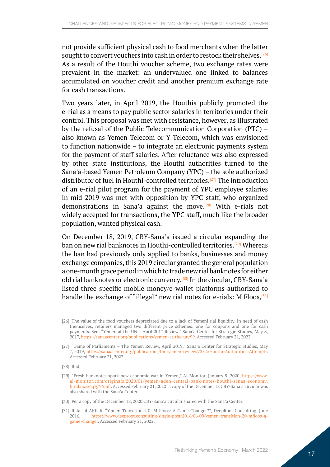not provide sufficient physical cash to food merchants when the latter sought to convert vouchers into cash in order to restock their shelves.<sup>[26]</sup> As a result of the Houthi voucher scheme, two exchange rates were prevalent in the market: an undervalued one linked to balances accumulated on voucher credit and another premium exchange rate for cash transactions.

Two years later, in April 2019, the Houthis publicly promoted the e-rial as a means to pay public sector salaries in territories under their control. This proposal was met with resistance, however, as illustrated by the refusal of the Public Telecommunication Corporation (PTC) – also known as Yemen Telecom or Y Telecom, which was envisioned to function nationwide – to integrate an electronic payments system for the payment of staff salaries. After reluctance was also expressed by other state institutions, the Houthi authorities turned to the Sana'a-based Yemen Petroleum Company (YPC) – the sole authorized distributor of fuel in Houthi-controlled territories.[27] The introduction of an e-rial pilot program for the payment of YPC employee salaries in mid-2019 was met with opposition by YPC staff, who organized demonstrations in Sana'a against the move.<sup>[28]</sup> With e-rials not widely accepted for transactions, the YPC staff, much like the broader population, wanted physical cash.

On December 18, 2019, CBY-Sana'a issued a circular expanding the ban on new rial banknotes in Houthi-controlled territories.<sup>[29]</sup> Whereas the ban had previously only applied to banks, businesses and money exchange companies, this 2019 circular granted the general population a one-month grace period in which to trade new rial banknotes for either old rial banknotes or electronic currency.<sup>[30]</sup> In the circular, CBY-Sana'a listed three specific mobile money/e-wallet platforms authorized to handle the exchange of "illegal" new rial notes for e-rials: M Floos,  $[31]$ 

[28] Ibid.

<sup>[26]</sup> The value of the food vouchers depreciated due to a lack of Yemeni rial liquidity. In need of cash themselves, retailers managed two different price schemes: one for coupons and one for cash payments. See: "Yemen at the UN – April 2017 Review," Sana'a Center for Strategic Studies, May 8, 2017, [https://sanaacenter.org/publications/yemen-at-the-un/99.](https://sanaacenter.org/publications/yemen-at-the-un/99) Accessed February 21, 2022.

<sup>[27]</sup> "Game of Parliaments – The Yemen Review, April 2019," Sana'a Center for Strategic Studies, May 7, 2019, <https://sanaacenter.org/publications/the-yemen-review/7357#Houthi-Authorities-Attempt->. Accessed February 21, 2022.

<sup>[29]</sup> "Fresh banknotes spark new economic war in Yemen," Al-Monitor, January 9, 2020, [https://www.](https://www.al-monitor.com/originals/2020/01/yemen-aden-central-bank-notes-houthi-sanaa-economy.html#ixzz6q7gNYmfl) [al-monitor.com/originals/2020/01/yemen-aden-central-bank-notes-houthi-sanaa-economy.](https://www.al-monitor.com/originals/2020/01/yemen-aden-central-bank-notes-houthi-sanaa-economy.html#ixzz6q7gNYmfl) [html#ixzz6q7gNYmfl](https://www.al-monitor.com/originals/2020/01/yemen-aden-central-bank-notes-houthi-sanaa-economy.html#ixzz6q7gNYmfl). Accessed February 21, 2022; a copy of the December 18 CBY-Sana'a circular was also shared with the Sana'a Center.

<sup>[30]</sup> Per a copy of the December 18, 2020 CBY-Sana'a circular shared with the Sana'a Center.

<sup>[31]</sup> Rafat al-AKhali, "Yemen Transition 2.0: M-Floos: A Game Changer?", DeepRoot Consulting, June 2016, [https://www.deeproot.consulting/single-post/2016/06/09/yemen-transition-20-mfloos-a](https://www.deeproot.consulting/single-post/2016/06/09/yemen-transition-20-mfloos-a-game-changer)[game-changer](https://www.deeproot.consulting/single-post/2016/06/09/yemen-transition-20-mfloos-a-game-changer). Accessed February 21, 2022.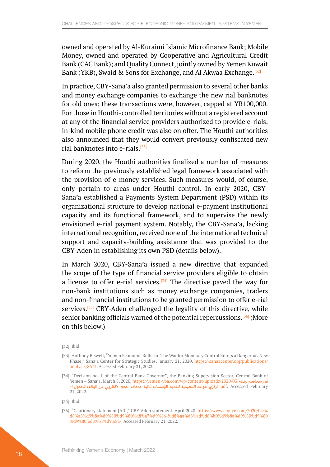owned and operated by Al-Kuraimi Islamic Microfinance Bank; Mobile Money, owned and operated by Cooperative and Agricultural Credit Bank (CAC Bank); and Quality Connect, jointly owned by Yemen Kuwait Bank (YKB), Swaid & Sons for Exchange, and Al Akwaa Exchange.<sup>[32]</sup>

In practice, CBY-Sana'a also granted permission to several other banks and money exchange companies to exchange the new rial banknotes for old ones; these transactions were, however, capped at YR100,000. For those in Houthi-controlled territories without a registered account at any of the financial service providers authorized to provide e-rials, in-kind mobile phone credit was also on offer. The Houthi authorities also announced that they would convert previously confiscated new rial banknotes into e-rials.[33]

During 2020, the Houthi authorities finalized a number of measures to reform the previously established legal framework associated with the provision of e-money services. Such measures would, of course, only pertain to areas under Houthi control. In early 2020, CBY-Sana'a established a Payments System Department (PSD) within its organizational structure to develop national e-payment institutional capacity and its functional framework, and to supervise the newly envisioned e-rial payment system. Notably, the CBY-Sana'a, lacking international recognition, received none of the international technical support and capacity-building assistance that was provided to the CBY-Aden in establishing its own PSD (details below).

In March 2020, CBY-Sana'a issued a new directive that expanded the scope of the type of financial service providers eligible to obtain a license to offer e-rial services.<sup>[34]</sup> The directive paved the way for non-bank institutions such as money exchange companies, traders and non-financial institutions to be granted permission to offer e-rial services.<sup>[35]</sup> CBY-Aden challenged the legality of this directive, while senior banking officials warned of the potential repercussions.<sup>[36]</sup> (More on this below.)

<sup>[32]</sup> Ibid.

<sup>[33]</sup> Anthony Biswell, "Yemen Economic Bulletin: The War for Monetary Control Enters a Dangerous New Phase," Sana'a Center for Strategic Studies, January 21, 2020, [https://sanaacenter.org/publications/](https://sanaacenter.org/publications/analysis/8674) [analysis/8674](https://sanaacenter.org/publications/analysis/8674). Accessed February 21, 2022.

<sup>[34]</sup> "Decision no. 1 of the Central Bank Governor", the Banking Supervision Sector, Central Bank of Yemen – Sana'a, March 8, 2020, [https://yemen-yba.com/wp-content/uploads/2020/03/](https://yemen-yba.com/wp-content/uploads/2020/03/قرار-محافظ-البنك-المركزي-لقواعد-التنظيمية-لتقديم-ال)-البنـك-محافظ-قرار February Accessed .pdf.[املركزي-لقواعد-التنظيمية-لتقديم-املؤسسـات-املالية-خدمات-الدفع-االلكرتوين-عرب-الهاتف-املحمول](https://yemen-yba.com/wp-content/uploads/2020/03/قرار-محافظ-البنك-المركزي-لقواعد-التنظيمية-لتقديم-ال)-1 21, 2022.

<sup>[35]</sup> Ibid.

<sup>[36]</sup> "Cautionary statement [AR]," CBY-Aden statement, April 2020, [https://www.cby-ye.com/2020/04/%](https://www.cby-ye.com/2020/04/%d8%a8%d9%8a%d9%80%d9%80%d8%a7%d9%86-%d8%aa%d8%ad%d8%b0%d9%8a%d9%80%d9%80%d9%80%d8%b1%d9%8a/) [d8%a8%d9%8a%d9%80%d9%80%d8%a7%d9%86-%d8%aa%d8%ad%d8%b0%d9%8a%d9%80%d9%80](https://www.cby-ye.com/2020/04/%d8%a8%d9%8a%d9%80%d9%80%d8%a7%d9%86-%d8%aa%d8%ad%d8%b0%d9%8a%d9%80%d9%80%d9%80%d8%b1%d9%8a/) [%d9%80%d8%b1%d9%8a/.](https://www.cby-ye.com/2020/04/%d8%a8%d9%8a%d9%80%d9%80%d8%a7%d9%86-%d8%aa%d8%ad%d8%b0%d9%8a%d9%80%d9%80%d9%80%d8%b1%d9%8a/) Accessed February 21, 2022.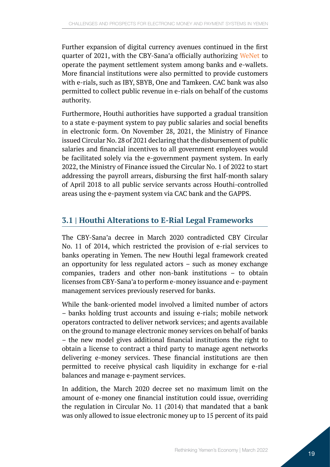<span id="page-18-0"></span>Further expansion of digital currency avenues continued in the first quarter of 2021, with the CBY-Sana'a officially authorizing [WeNet](http://wenet-ye.com/about-us-en.html) to operate the payment settlement system among banks and e-wallets. More financial institutions were also permitted to provide customers with e-rials, such as IBY, SBYB, One and Tamkeen. CAC bank was also permitted to collect public revenue in e-rials on behalf of the customs authority.

Furthermore, Houthi authorities have supported a gradual transition to a state e-payment system to pay public salaries and social benefits in electronic form. On November 28, 2021, the Ministry of Finance issued Circular No. 28 of 2021 declaring that the disbursement of public salaries and financial incentives to all government employees would be facilitated solely via the e-government payment system. In early 2022, the Ministry of Finance issued the Circular No. 1 of 2022 to start addressing the payroll arrears, disbursing the first half-month salary of April 2018 to all public service servants across Houthi-controlled areas using the e-payment system via CAC bank and the GAPPS.

### **3.1 | Houthi Alterations to E-Rial Legal Frameworks**

The CBY-Sana'a decree in March 2020 contradicted CBY Circular No. 11 of 2014, which restricted the provision of e-rial services to banks operating in Yemen. The new Houthi legal framework created an opportunity for less regulated actors – such as money exchange companies, traders and other non-bank institutions – to obtain licenses from CBY-Sana'a to perform e-money issuance and e-payment management services previously reserved for banks.

While the bank-oriented model involved a limited number of actors – banks holding trust accounts and issuing e-rials; mobile network operators contracted to deliver network services; and agents available on the ground to manage electronic money services on behalf of banks – the new model gives additional financial institutions the right to obtain a license to contract a third party to manage agent networks delivering e-money services. These financial institutions are then permitted to receive physical cash liquidity in exchange for e-rial balances and manage e-payment services.

In addition, the March 2020 decree set no maximum limit on the amount of e-money one financial institution could issue, overriding the regulation in Circular No. 11 (2014) that mandated that a bank was only allowed to issue electronic money up to 15 percent of its paid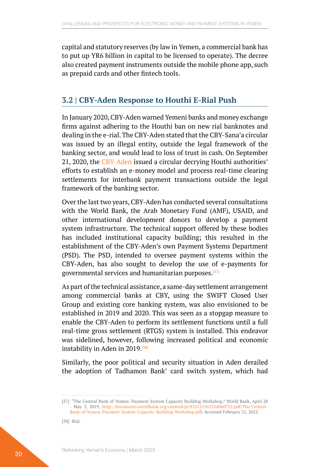<span id="page-19-0"></span>capital and statutory reserves (by law in Yemen, a commercial bank has to put up YR6 billion in capital to be licensed to operate). The decree also created payment instruments outside the mobile phone app, such as prepaid cards and other fintech tools.

#### **3.2 | CBY-Aden Response to Houthi E-Rial Push**

In January 2020, CBY-Aden warned Yemeni banks and money exchange firms against adhering to the Houthi ban on new rial banknotes and dealing in the e-rial. The CBY-Aden stated that the CBY-Sana'a circular was issued by an illegal entity, outside the legal framework of the banking sector, and would lead to loss of trust in cash. On September 21, 2020, the [CBY-Aden](https://www.aa.com.tr/ar/%D8%A7%D9%82%D8%AA%D8%B5%D8%A7%D8%AF/%D8%A7%D9%84%D9%85%D8%B1%D9%83%D8%B2%D9%8A-%D8%A8%D8%A7%D9%84%D9%8A%D9%85%D9%86-%D9%84%D8%A7-%D9%86%D8%B9%D8%AA%D8%B1%D9%81-%D8%A8%D9%82%D8%B1%D8%A7%D8%B1-%D8%B5%D9%86%D8%B9%D8%A7%D8%A1-%D8%A8%D8%B4%D8%A3%D9%86-%D8%A7%D9%84%D9%86%D9%82%D8%AF-%D8%A7%D9%84%D8%A5%D9%84%D9%83%D8%AA%D8%B1%D9%88%D9%86%D9%8A/1788687) issued a circular decrying Houthi authorities' efforts to establish an e-money model and process real-time clearing settlements for interbank payment transactions outside the legal framework of the banking sector.

Over the last two years, CBY-Aden has conducted several consultations with the World Bank, the Arab Monetary Fund (AMF), USAID, and other international development donors to develop a payment system infrastructure. The technical support offered by these bodies has included institutional capacity building; this resulted in the establishment of the CBY-Aden's own Payment Systems Department (PSD). The PSD, intended to oversee payment systems within the CBY-Aden, has also sought to develop the use of e-payments for governmental services and humanitarian purposes.[37]

As part of the technical assistance, a same-day settlement arrangement among commercial banks at CBY, using the SWIFT Closed User Group and existing core banking system, was also envisioned to be established in 2019 and 2020. This was seen as a stopgap measure to enable the CBY-Aden to perform its settlement functions until a full real-time gross settlement (RTGS) system is installed. This endeavor was sidelined, however, following increased political and economic instability in Aden in 2019.[38]

Similarly, the poor political and security situation in Aden derailed the adoption of Tadhamon Bank' card switch system, which had

<sup>[37]</sup> "The Central Bank of Yemen: Payment System Capacity Building Workshop," World Bank, April 28 - May 3, 2019, [http://documents.worldbank.org/curated/pt/832121563254060755/pdf/The-Central-](http://documents.worldbank.org/curated/pt/832121563254060755/pdf/The-Central-Bank-of-Yemen-Payment-System-Capacity-Building-Workshop.pdf)[Bank-of-Yemen-Payment-System-Capacity-Building-Workshop.pdf.](http://documents.worldbank.org/curated/pt/832121563254060755/pdf/The-Central-Bank-of-Yemen-Payment-System-Capacity-Building-Workshop.pdf) Accessed February 21, 2022.

<sup>[38]</sup> Ibid.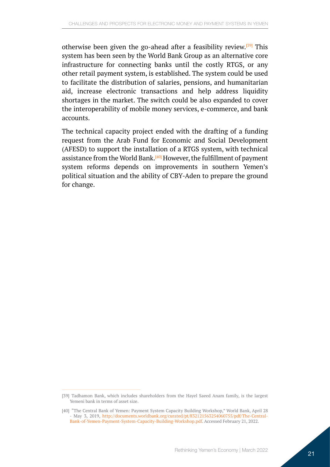otherwise been given the go-ahead after a feasibility review.<sup>[39]</sup> This system has been seen by the World Bank Group as an alternative core infrastructure for connecting banks until the costly RTGS, or any other retail payment system, is established. The system could be used to facilitate the distribution of salaries, pensions, and humanitarian aid, increase electronic transactions and help address liquidity shortages in the market. The switch could be also expanded to cover the interoperability of mobile money services, e-commerce, and bank accounts.

The technical capacity project ended with the drafting of a funding request from the Arab Fund for Economic and Social Development (AFESD) to support the installation of a RTGS system, with technical assistance from the World Bank.[40] However, the fulfillment of payment system reforms depends on improvements in southern Yemen's political situation and the ability of CBY-Aden to prepare the ground for change.

<sup>[39]</sup> Tadhamon Bank, which includes shareholders from the Hayel Saeed Anam family, is the largest Yemeni bank in terms of asset size.

<sup>[40]</sup> "The Central Bank of Yemen: Payment System Capacity Building Workshop," World Bank, April 28 - May 3, 2019, [http://documents.worldbank.org/curated/pt/832121563254060755/pdf/The-Central-](http://documents.worldbank.org/curated/pt/832121563254060755/pdf/The-Central-Bank-of-Yemen-Payment-System-Capacity-Building-Workshop.pdf)[Bank-of-Yemen-Payment-System-Capacity-Building-Workshop.pdf.](http://documents.worldbank.org/curated/pt/832121563254060755/pdf/The-Central-Bank-of-Yemen-Payment-System-Capacity-Building-Workshop.pdf) Accessed February 21, 2022.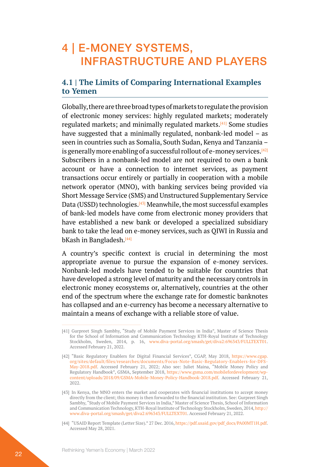### <span id="page-21-0"></span>4 | E-MONEY SYSTEMS, INFRASTRUCTURE AND PLAYERS

### **4.1 | The Limits of Comparing International Examples to Yemen**

Globally, there are three broad types of markets to regulate the provision of electronic money services: highly regulated markets; moderately regulated markets; and minimally regulated markets.[41] Some studies have suggested that a minimally regulated, nonbank-led model – as seen in countries such as Somalia, South Sudan, Kenya and Tanzania – is generally more enabling of a successful rollout of e-money services.<sup>[42]</sup> Subscribers in a nonbank-led model are not required to own a bank account or have a connection to internet services, as payment transactions occur entirely or partially in cooperation with a mobile network operator (MNO), with banking services being provided via Short Message Service (SMS) and Unstructured Supplementary Service Data (USSD) technologies.<sup>[43]</sup> Meanwhile, the most successful examples of bank-led models have come from electronic money providers that have established a new bank or developed a specialized subsidiary bank to take the lead on e-money services, such as QIWI in Russia and bKash in Bangladesh.<sup>[44]</sup>

A country's specific context is crucial in determining the most appropriate avenue to pursue the expansion of e-money services. Nonbank-led models have tended to be suitable for countries that have developed a strong level of maturity and the necessary controls in electronic money ecosystems or, alternatively, countries at the other end of the spectrum where the exchange rate for domestic banknotes has collapsed and an e-currency has become a necessary alternative to maintain a means of exchange with a reliable store of value.

[44] "USAID Report Template (Letter Size)." 27 Dec. 2016, [https://pdf.usaid.gov/pdf\\_docs/PA00MT1H.pdf](https://pdf.usaid.gov/pdf_docs/PA00MT1H.pdf). Accessed May 28, 2021.

<sup>[41]</sup> Gurpreet Singh Sambhy, "Study of Mobile Payment Services in India", Master of Science Thesis for the School of Information and Communication Technology KTH-Royal Institute of Technology Stockholm, Sweden, 2014, p. 16, [www.diva-portal.org/smash/get/diva2:696343/FULLTEXT01](http://www.diva-portal.org/smash/get/diva2:696343/FULLTEXT01). Accessed February 21, 2022.

<sup>[42]</sup> "Basic Regulatory Enablers for Digital Financial Services", CGAP, May 2018, [https://www.cgap.](https://www.cgap.org/sites/default/files/researches/documents/Focus-Note-Basic-Regulatory-Enablers-for-DFS-May-2018.pdf) [org/sites/default/files/researches/documents/Focus-Note-Basic-Regulatory-Enablers-for-DFS-](https://www.cgap.org/sites/default/files/researches/documents/Focus-Note-Basic-Regulatory-Enablers-for-DFS-May-2018.pdf)[May-2018.pdf](https://www.cgap.org/sites/default/files/researches/documents/Focus-Note-Basic-Regulatory-Enablers-for-DFS-May-2018.pdf). Accessed February 21, 2022; Also see: Juliet Maina, "Mobile Money Policy and Regulatory Handbook", GSMA, September 2018, [https://www.gsma.com/mobilefordevelopment/wp](https://www.gsma.com/mobilefordevelopment/wp-content/uploads/2018/09/GSMA-Mobile-Money-Policy-Handbook-2018.pdf)[content/uploads/2018/09/GSMA-Mobile-Money-Policy-Handbook-2018.pdf.](https://www.gsma.com/mobilefordevelopment/wp-content/uploads/2018/09/GSMA-Mobile-Money-Policy-Handbook-2018.pdf) Accessed February 21, 2022.

<sup>[43]</sup> In Kenya, the MNO enters the market and cooperates with financial institutions to accept money directly from the client; this money is then forwarded to the financial institution. See: Gurpreet Singh Sambhy, "Study of Mobile Payment Services in India," Master of Science Thesis, School of Information and Communication Technology, KTH-Royal Institute of Technology Stockholm, Sweden, 2014, [http://](http://www.diva-portal.org/smash/get/diva2:696343/FULLTEXT01) [www.diva-portal.org/smash/get/diva2:696343/FULLTEXT01.](http://www.diva-portal.org/smash/get/diva2:696343/FULLTEXT01) Accessed February 21, 2022.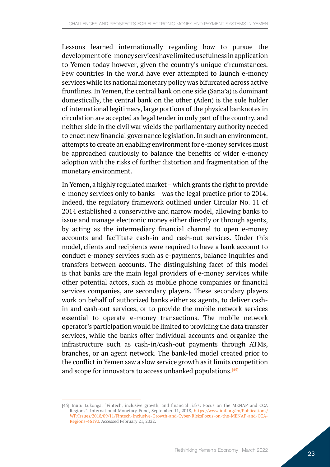Lessons learned internationally regarding how to pursue the development of e-money services have limited usefulness in application to Yemen today however, given the country's unique circumstances. Few countries in the world have ever attempted to launch e-money services while its national monetary policy was bifurcated across active frontlines. In Yemen, the central bank on one side (Sana'a) is dominant domestically, the central bank on the other (Aden) is the sole holder of international legitimacy, large portions of the physical banknotes in circulation are accepted as legal tender in only part of the country, and neither side in the civil war wields the parliamentary authority needed to enact new financial governance legislation. In such an environment, attempts to create an enabling environment for e-money services must be approached cautiously to balance the benefits of wider e-money adoption with the risks of further distortion and fragmentation of the monetary environment.

In Yemen, a highly regulated market – which grants the right to provide e-money services only to banks – was the legal practice prior to 2014. Indeed, the regulatory framework outlined under Circular No. 11 of 2014 established a conservative and narrow model, allowing banks to issue and manage electronic money either directly or through agents, by acting as the intermediary financial channel to open e-money accounts and facilitate cash-in and cash-out services. Under this model, clients and recipients were required to have a bank account to conduct e-money services such as e-payments, balance inquiries and transfers between accounts. The distinguishing facet of this model is that banks are the main legal providers of e-money services while other potential actors, such as mobile phone companies or financial services companies, are secondary players. These secondary players work on behalf of authorized banks either as agents, to deliver cashin and cash-out services, or to provide the mobile network services essential to operate e-money transactions. The mobile network operator's participation would be limited to providing the data transfer services, while the banks offer individual accounts and organize the infrastructure such as cash-in/cash-out payments through ATMs, branches, or an agent network. The bank-led model created prior to the conflict in Yemen saw a slow service growth as it limits competition and scope for innovators to access unbanked populations.<sup>[45]</sup>

<sup>[45]</sup> Inutu Lukonga, "Fintech, inclusive growth, and financial risks: Focus on the MENAP and CCA Regions", International Monetary Fund, September 11, 2018, [https://www.imf.org/en/Publications/](https://www.imf.org/en/Publications/WP/Issues/2018/09/11/Fintech-Inclusive-Growth-and-Cyber-RisksFocus-on-the-MENAP-and-CCA-Regions-46190) [WP/Issues/2018/09/11/Fintech-Inclusive-Growth-and-Cyber-RisksFocus-on-the-MENAP-and-CCA-](https://www.imf.org/en/Publications/WP/Issues/2018/09/11/Fintech-Inclusive-Growth-and-Cyber-RisksFocus-on-the-MENAP-and-CCA-Regions-46190)[Regions-46190.](https://www.imf.org/en/Publications/WP/Issues/2018/09/11/Fintech-Inclusive-Growth-and-Cyber-RisksFocus-on-the-MENAP-and-CCA-Regions-46190) Accessed February 21, 2022.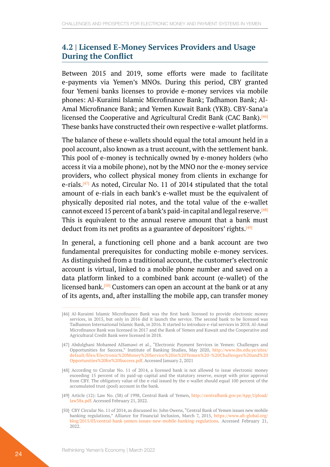#### <span id="page-23-0"></span>**4.2 | Licensed E-Money Services Providers and Usage During the Conflict**

Between 2015 and 2019, some efforts were made to facilitate e-payments via Yemen's MNOs. During this period, CBY granted four Yemeni banks licenses to provide e-money services via mobile phones: Al-Kuraimi Islamic Microfinance Bank; Tadhamon Bank; Al-Amal Microfinance Bank; and Yemen Kuwait Bank (YKB). CBY-Sana'a licensed the Cooperative and Agricultural Credit Bank (CAC Bank).<sup>[46]</sup> These banks have constructed their own respective e-wallet platforms.

The balance of these e-wallets should equal the total amount held in a pool account, also known as a trust account, with the settlement bank. This pool of e-money is technically owned by e-money holders (who access it via a mobile phone), not by the MNO nor the e-money service providers, who collect physical money from clients in exchange for e-rials.<sup>[47]</sup> As noted, Circular No. 11 of 2014 stipulated that the total amount of e-rials in each bank's e-wallet must be the equivalent of physically deposited rial notes, and the total value of the e-wallet cannot exceed 15 percent of a bank's paid-in capital and legal reserve.<sup>[48]</sup> This is equivalent to the annual reserve amount that a bank must deduct from its net profits as a guarantee of depositors' rights.<sup>[49]</sup>

In general, a functioning cell phone and a bank account are two fundamental prerequisites for conducting mobile e-money services. As distinguished from a traditional account, the customer's electronic account is virtual, linked to a mobile phone number and saved on a data platform linked to a combined bank account (e-wallet) of the licensed bank.<sup>[50]</sup> Customers can open an account at the bank or at any of its agents, and, after installing the mobile app, can transfer money

<sup>[46]</sup> Al-Kuraimi Islamic Microfinance Bank was the first bank licensed to provide electronic money services, in 2015, but only in 2016 did it launch the service. The second bank to be licensed was Tadhamon International Islamic Bank, in 2016. It started to introduce e-rial services in 2018. Al-Amal Microfinance Bank was licensed in 2017 and the Bank of Yemen and Kuwait and the Cooperative and Agricultural Credit Bank were licensed in 2018.

<sup>[47]</sup> Abdulghani Mohamed AlSamawi et al., "Electronic Payment Services in Yemen: Challenges and Opportunities for Success," Institute of Banking Studies, May 2020, [http://www.ibs.edu.ye/sites/](http://www.ibs.edu.ye/sites/default/files/Electronic%20Money%20Service%20in%20Yemen%20-%20Challenges%20and%20Opportunities%20for%20Success.pdf) [default/files/Electronic%20Money%20Service%20in%20Yemen%20-%20Challenges%20and%20](http://www.ibs.edu.ye/sites/default/files/Electronic%20Money%20Service%20in%20Yemen%20-%20Challenges%20and%20Opportunities%20for%20Success.pdf) [Opportunities%20for%20Success.pdf](http://www.ibs.edu.ye/sites/default/files/Electronic%20Money%20Service%20in%20Yemen%20-%20Challenges%20and%20Opportunities%20for%20Success.pdf). Accessed January 2, 2021

<sup>[48]</sup> According to Circular No. 11 of 2014, a licensed bank is not allowed to issue electronic money exceeding 15 percent of its paid-up capital and the statutory reserve, except with prior approval from CBY. The obligatory value of the e-rial issued by the e-wallet should equal 100 percent of the accumulated trust (pool) account in the bank.

<sup>[49]</sup> Article (12): Law No. (38) of 1998, Central Bank of Yemen, http://centralbank.gov.ye/App Upload/ [law38a.pdf](http://centralbank.gov.ye/App_Upload/law38a.pdf). Accessed February 21, 2022.

<sup>[50]</sup> CBY Circular No. 11 of 2014, as discussed in: John Owens, "Central Bank of Yemen issues new mobile banking regulations," Alliance for Financial Inclusion, March 7, 2015, [https://www.afi-global.org/](https://www.afi-global.org/blog/2015/03/central-bank-yemen-issues-new-mobile-banking-regulations) [blog/2015/03/central-bank-yemen-issues-new-mobile-banking-regulations.](https://www.afi-global.org/blog/2015/03/central-bank-yemen-issues-new-mobile-banking-regulations) Accessed February 21, 2022.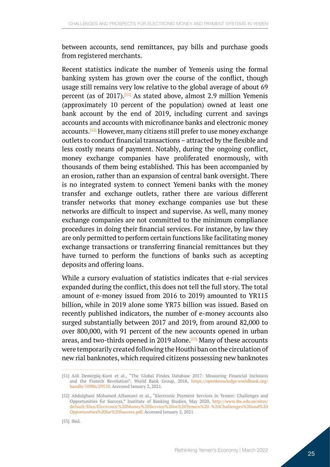between accounts, send remittances, pay bills and purchase goods from registered merchants.

Recent statistics indicate the number of Yemenis using the formal banking system has grown over the course of the conflict, though usage still remains very low relative to the global average of about 69 percent (as of  $2017$ ).<sup>[51]</sup> As stated above, almost 2.9 million Yemenis (approximately 10 percent of the population) owned at least one bank account by the end of 2019, including current and savings accounts and accounts with microfinance banks and electronic money accounts.[52] However, many citizens still prefer to use money exchange outlets to conduct financial transactions – attracted by the flexible and less costly means of payment. Notably, during the ongoing conflict, money exchange companies have proliferated enormously, with thousands of them being established. This has been accompanied by an erosion, rather than an expansion of central bank oversight. There is no integrated system to connect Yemeni banks with the money transfer and exchange outlets, rather there are various different transfer networks that money exchange companies use but these networks are difficult to inspect and supervise. As well, many money exchange companies are not committed to the minimum compliance procedures in doing their financial services. For instance, by law they are only permitted to perform certain functions like facilitating money exchange transactions or transferring financial remittances but they have turned to perform the functions of banks such as accepting deposits and offering loans.

While a cursory evaluation of statistics indicates that e-rial services expanded during the conflict, this does not tell the full story. The total amount of e-money issued from 2016 to 2019) amounted to YR115 billion, while in 2019 alone some YR75 billion was issued. Based on recently published indicators, the number of e-money accounts also surged substantially between 2017 and 2019, from around 82,000 to over 800,000, with 91 percent of the new accounts opened in urban areas, and two-thirds opened in 2019 alone.<sup>[53]</sup> Many of these accounts were temporarily created following the Houthi ban on the circulation of new rial banknotes, which required citizens possessing new banknotes

<sup>[51]</sup> Asli Demirgüç-Kunt et al., "The Global Findex Database 2017: Measuring Financial Inclusion and the Fintech Revolution", World Bank Group, 2018, [https://openknowledge.worldbank.org/](https://openknowledge.worldbank.org/handle/10986/29510) [handle/10986/29510](https://openknowledge.worldbank.org/handle/10986/29510). Accessed January 2, 2021.

<sup>[52]</sup> Abdulghani Mohamed AlSamawi et al., "Electronic Payment Services in Yemen: Challenges and Opportunities for Success," Institute of Banking Studies, May 2020, [http://www.ibs.edu.ye/sites/](http://www.ibs.edu.ye/sites/default/files/Electronic%20Money%20Service%20in%20Yemen%20-%20Challenges%20and%20Opportunities%20for%20Success.pdf) [default/files/Electronic%20Money%20Service%20in%20Yemen%20-%20Challenges%20and%20](http://www.ibs.edu.ye/sites/default/files/Electronic%20Money%20Service%20in%20Yemen%20-%20Challenges%20and%20Opportunities%20for%20Success.pdf) [Opportunities%20for%20Success.pdf](http://www.ibs.edu.ye/sites/default/files/Electronic%20Money%20Service%20in%20Yemen%20-%20Challenges%20and%20Opportunities%20for%20Success.pdf). Accessed January 2, 2021.

<sup>[53]</sup> Ibid.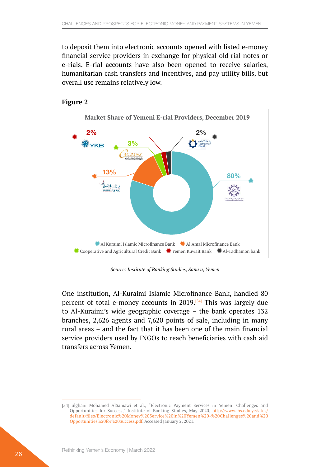to deposit them into electronic accounts opened with listed e-money financial service providers in exchange for physical old rial notes or e-rials. E-rial accounts have also been opened to receive salaries, humanitarian cash transfers and incentives, and pay utility bills, but overall use remains relatively low.





*Source: Institute of Banking Studies, Sana'a, Yemen*

One institution, Al-Kuraimi Islamic Microfinance Bank, handled 80 percent of total e-money accounts in 2019.[54] This was largely due to Al-Kuraimi's wide geographic coverage – the bank operates 132 branches, 2,626 agents and 7,620 points of sale, including in many rural areas – and the fact that it has been one of the main financial service providers used by INGOs to reach beneficiaries with cash aid transfers across Yemen.

<sup>[54]</sup> ulghani Mohamed AlSamawi et al., "Electronic Payment Services in Yemen: Challenges and Opportunities for Success," Institute of Banking Studies, May 2020, [http://www.ibs.edu.ye/sites/](http://www.ibs.edu.ye/sites/default/files/Electronic%20Money%20Service%20in%20Yemen%20-%20Challenges%20and%20Opportunities%20for%20Success.pdf) [default/files/Electronic%20Money%20Service%20in%20Yemen%20-%20Challenges%20and%20](http://www.ibs.edu.ye/sites/default/files/Electronic%20Money%20Service%20in%20Yemen%20-%20Challenges%20and%20Opportunities%20for%20Success.pdf) [Opportunities%20for%20Success.pdf](http://www.ibs.edu.ye/sites/default/files/Electronic%20Money%20Service%20in%20Yemen%20-%20Challenges%20and%20Opportunities%20for%20Success.pdf). Accessed January 2, 2021.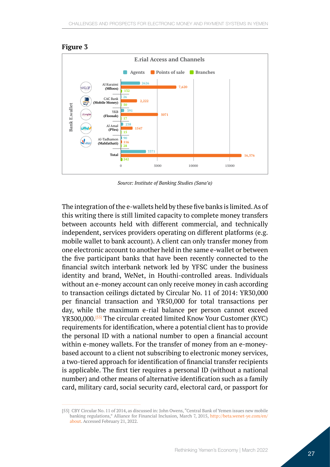

#### **Figure 3**

*Source: Institute of Banking Studies (Sana'a)*

The integration of the e-wallets held by these five banks is limited. As of this writing there is still limited capacity to complete money transfers between accounts held with different commercial, and technically independent, services providers operating on different platforms (e.g. mobile wallet to bank account). A client can only transfer money from one electronic account to another held in the same e-wallet or between the five participant banks that have been recently connected to the financial switch interbank network led by YFSC under the business identity and brand, WeNet, in Houthi-controlled areas. Individuals without an e-money account can only receive money in cash according to transaction ceilings dictated by Circular No. 11 of 2014: YR30,000 per financial transaction and YR50,000 for total transactions per day, while the maximum e-rial balance per person cannot exceed YR300,000.<sup>[55]</sup> The circular created limited Know Your Customer (KYC) requirements for identification, where a potential client has to provide the personal ID with a national number to open a financial account within e-money wallets. For the transfer of money from an e-moneybased account to a client not subscribing to electronic money services, a two-tiered approach for identification of financial transfer recipients is applicable. The first tier requires a personal ID (without a national number) and other means of alternative identification such as a family card, military card, social security card, electoral card, or passport for

<sup>[55]</sup> CBY Circular No. 11 of 2014, as discussed in: John Owens, "Central Bank of Yemen issues new mobile banking regulations," Alliance for Financial Inclusion, March 7, 2015, [http://beta.wenet-ye.com/en/](http://beta.wenet-ye.com/en/about) [about](http://beta.wenet-ye.com/en/about). Accessed February 21, 2022.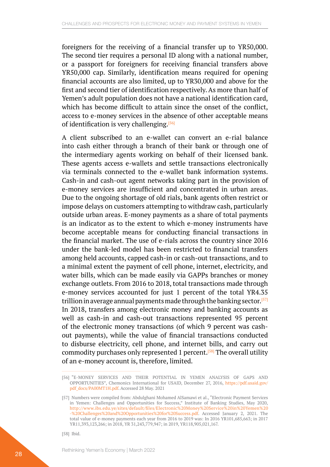foreigners for the receiving of a financial transfer up to YR50,000. The second tier requires a personal ID along with a national number, or a passport for foreigners for receiving financial transfers above YR50,000 cap. Similarly, identification means required for opening financial accounts are also limited, up to YR30,000 and above for the first and second tier of identification respectively. As more than half of Yemen's adult population does not have a national identification card, which has become difficult to attain since the onset of the conflict, access to e-money services in the absence of other acceptable means of identification is very challenging.[56]

A client subscribed to an e-wallet can convert an e-rial balance into cash either through a branch of their bank or through one of the intermediary agents working on behalf of their licensed bank. These agents access e-wallets and settle transactions electronically via terminals connected to the e-wallet bank information systems. Cash-in and cash-out agent networks taking part in the provision of e-money services are insufficient and concentrated in urban areas. Due to the ongoing shortage of old rials, bank agents often restrict or impose delays on customers attempting to withdraw cash, particularly outside urban areas. E-money payments as a share of total payments is an indicator as to the extent to which e-money instruments have become acceptable means for conducting financial transactions in the financial market. The use of e-rials across the country since 2016 under the bank-led model has been restricted to financial transfers among held accounts, capped cash-in or cash-out transactions, and to a minimal extent the payment of cell phone, internet, electricity, and water bills, which can be made easily via GAPPs branches or money exchange outlets. From 2016 to 2018, total transactions made through e-money services accounted for just 1 percent of the total YR4.35 trillion in average annual payments made through the banking sector.<sup>[57]</sup> In 2018, transfers among electronic money and banking accounts as well as cash-in and cash-out transactions represented 95 percent of the electronic money transactions (of which 9 percent was cashout payments), while the value of financial transactions conducted to disburse electricity, cell phone, and internet bills, and carry out commodity purchases only represented 1 percent.[58] The overall utility of an e-money account is, therefore, limited.

<sup>[56]</sup> "E-MONEY SERVICES AND THEIR POTENTIAL IN YEMEN ANALYSIS OF GAPS AND OPPORTUNITIES", Chemonics International for USAID, December 27, 2016, [https://pdf.usaid.gov/](https://pdf.usaid.gov/pdf_docs/PA00MT1H.pdf) [pdf\\_docs/PA00MT1H.pdf](https://pdf.usaid.gov/pdf_docs/PA00MT1H.pdf). Accessed 28 May. 2021

<sup>[57]</sup> Numbers were compiled from: Abdulghani Mohamed AlSamawi et al., "Electronic Payment Services in Yemen: Challenges and Opportunities for Success," Institute of Banking Studies, May 2020, [http://www.ibs.edu.ye/sites/default/files/Electronic%20Money%20Service%20in%20Yemen%20](http://www.ibs.edu.ye/sites/default/files/Electronic%20Money%20Service%20in%20Yemen%20-%20Challenges%20and%20Opportunities%20for%20Success.pdf) [-%20Challenges%20and%20Opportunities%20for%20Success.pdf](http://www.ibs.edu.ye/sites/default/files/Electronic%20Money%20Service%20in%20Yemen%20-%20Challenges%20and%20Opportunities%20for%20Success.pdf). Accessed January 2, 2021. The total value of e-money payments each year from 2016 to 2019 was: In 2016 YR101,685,663; in 2017 YR11,393,123,266; in 2018, YR 31,243,779,947; in 2019, YR118,905,021,167.

<sup>[58]</sup> Ibid.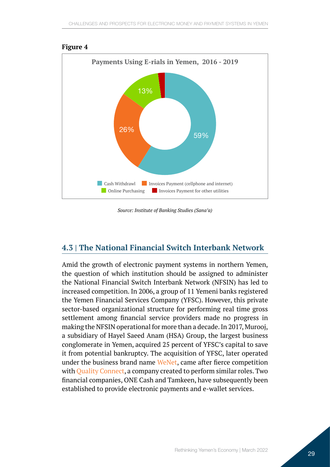

#### <span id="page-28-0"></span>**Figure 4**

*Source: Institute of Banking Studies (Sana'a)*

### **4.3 | The National Financial Switch Interbank Network**

Amid the growth of electronic payment systems in northern Yemen, the question of which institution should be assigned to administer the National Financial Switch Interbank Network (NFSIN) has led to increased competition. In 2006, a group of 11 Yemeni banks registered the Yemen Financial Services Company (YFSC). However, this private sector-based organizational structure for performing real time gross settlement among financial service providers made no progress in making the NFSIN operational for more than a decade. In 2017, Murooj, a subsidiary of Hayel Saeed Anam (HSA) Group, the largest business conglomerate in Yemen, acquired 25 percent of YFSC's capital to save it from potential bankruptcy. The acquisition of YFSC, later operated under the business brand name [WeNet](http://beta.wenet-ye.com/en/about), came after fierce competition with [Quality Connect](https://www.qcyemen.com/en/), a company created to perform similar roles. Two financial companies, ONE Cash and Tamkeen, have subsequently been established to provide electronic payments and e-wallet services.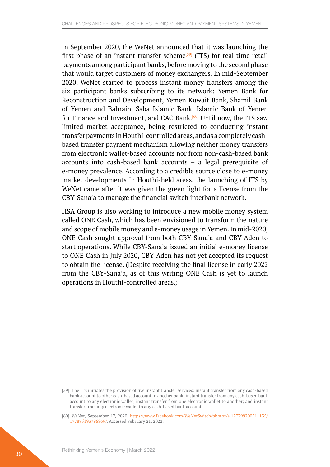In September 2020, the WeNet announced that it was launching the first phase of an instant transfer scheme<sup>[59]</sup> (ITS) for real time retail payments among participant banks, before moving to the second phase that would target customers of money exchangers. In mid-September 2020, WeNet started to process instant money transfers among the six participant banks subscribing to its network: Yemen Bank for Reconstruction and Development, Yemen Kuwait Bank, Shamil Bank of Yemen and Bahrain, Saba Islamic Bank, Islamic Bank of Yemen for Finance and Investment, and CAC Bank.<sup>[60]</sup> Until now, the ITS saw limited market acceptance, being restricted to conducting instant transfer payments in Houthi-controlled areas, and as a completely cashbased transfer payment mechanism allowing neither money transfers from electronic wallet-based accounts nor from non-cash-based bank accounts into cash-based bank accounts – a legal prerequisite of e-money prevalence. According to a credible source close to e-money market developments in Houthi-held areas, the launching of ITS by WeNet came after it was given the green light for a license from the CBY-Sana'a to manage the financial switch interbank network.

HSA Group is also working to introduce a new mobile money system called ONE Cash, which has been envisioned to transform the nature and scope of mobile money and e-money usage in Yemen. In mid-2020, ONE Cash sought approval from both CBY-Sana'a and CBY-Aden to start operations. While CBY-Sana'a issued an initial e-money license to ONE Cash in July 2020, CBY-Aden has not yet accepted its request to obtain the license. (Despite receiving the final license in early 2022 from the CBY-Sana'a, as of this writing ONE Cash is yet to launch operations in Houthi-controlled areas.)

<sup>[59]</sup> The ITS initiates the provision of five instant transfer services: instant transfer from any cash-based bank account to other cash-based account in another bank; instant transfer from any cash-based bank account to any electronic wallet; instant transfer from one electronic wallet to another; and instant transfer from any electronic wallet to any cash-based bank account

<sup>[60]</sup> WeNet, September 17, 2020, [https://www.facebook.com/WeNetSwitch/photos/a.177399200511135/](https://www.facebook.com/WeNetSwitch/photos/a.177399200511135/177875193796869/) [177875193796869/.](https://www.facebook.com/WeNetSwitch/photos/a.177399200511135/177875193796869/) Accessed February 21, 2022.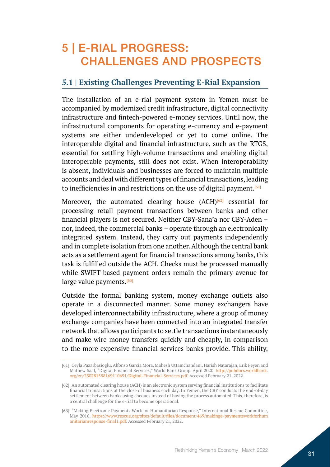### <span id="page-30-0"></span>5 | E-RIAL PROGRESS: CHALLENGES AND PROSPECTS

### **5.1 | Existing Challenges Preventing E-Rial Expansion**

The installation of an e-rial payment system in Yemen must be accompanied by modernized credit infrastructure, digital connectivity infrastructure and fintech-powered e-money services. Until now, the infrastructural components for operating e-currency and e-payment systems are either underdeveloped or yet to come online. The interoperable digital and financial infrastructure, such as the RTGS, essential for settling high-volume transactions and enabling digital interoperable payments, still does not exist. When interoperability is absent, individuals and businesses are forced to maintain multiple accounts and deal with different types of financial transactions, leading to inefficiencies in and restrictions on the use of digital payment.<sup>[61]</sup>

Moreover, the automated clearing house  $(ACH)^{[62]}$  essential for processing retail payment transactions between banks and other financial players is not secured. Neither CBY-Sana'a nor CBY-Aden – nor, indeed, the commercial banks – operate through an electronically integrated system. Instead, they carry out payments independently and in complete isolation from one another. Although the central bank acts as a settlement agent for financial transactions among banks, this task is fulfilled outside the ACH. Checks must be processed manually while SWIFT-based payment orders remain the primary avenue for large value payments.<sup>[63]</sup>

Outside the formal banking system, money exchange outlets also operate in a disconnected manner. Some money exchangers have developed interconnectability infrastructure, where a group of money exchange companies have been connected into an integrated transfer network that allows participants to settle transactions instantaneously and make wire money transfers quickly and cheaply, in comparison to the more expensive financial services banks provide. This ability,

<sup>[61]</sup> Ceyla Pazarbasioglu, Alfonso Garcia Mora, Mahesh Uttamchandani, Harish Natarajan, Erik Feyen and Mathew Saal, "Digital Financial Services," World Bank Group, April 2020, [http://pubdocs.worldbank.](http://pubdocs.worldbank.org/en/230281588169110691/Digital-Financial-Services.pdf) [org/en/230281588169110691/Digital-Financial-Services.pdf](http://pubdocs.worldbank.org/en/230281588169110691/Digital-Financial-Services.pdf). Accessed February 21, 2022.

<sup>[62]</sup> An automated clearing house (ACH) is an electronic system serving financial institutions to facilitate financial transactions at the close of business each day. In Yemen, the CBY conducts the end-of-day settlement between banks using cheques instead of having the process automated. This, therefore, is a central challenge for the e-rial to become operational.

<sup>[63]</sup> "Making Electronic Payments Work for Humanitarian Response," International Rescue Committee, May 2016, [https://www.rescue.org/sites/default/files/document/469/makinge-paymentsworkforhum](https://www.rescue.org/sites/default/files/document/469/makinge-paymentsworkforhumanitarianresponse-final1.pdf) [anitarianresponse-final1.pdf.](https://www.rescue.org/sites/default/files/document/469/makinge-paymentsworkforhumanitarianresponse-final1.pdf) Accessed February 21, 2022.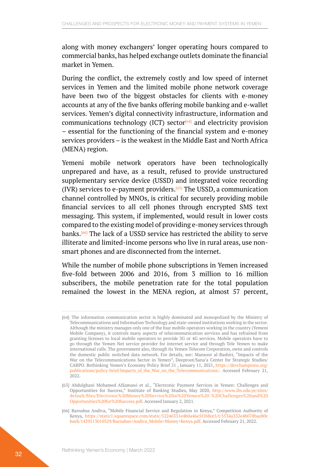along with money exchangers' longer operating hours compared to commercial banks, has helped exchange outlets dominate the financial market in Yemen.

During the conflict, the extremely costly and low speed of internet services in Yemen and the limited mobile phone network coverage have been two of the biggest obstacles for clients with e-money accounts at any of the five banks offering mobile banking and e-wallet services. Yemen's digital connectivity infrastructure, information and communications technology (ICT) sector<sup>[64]</sup> and electricity provision – essential for the functioning of the financial system and e-money services providers – is the weakest in the Middle East and North Africa (MENA) region.

Yemeni mobile network operators have been technologically unprepared and have, as a result, refused to provide unstructured supplementary service device (USSD) and integrated voice recording (IVR) services to e-payment providers.<sup>[65]</sup> The USSD, a communication channel controlled by MNOs, is critical for securely providing mobile financial services to all cell phones through encrypted SMS text messaging. This system, if implemented, would result in lower costs compared to the existing model of providing e-money services through banks.[66] The lack of a USSD service has restricted the ability to serve illiterate and limited-income persons who live in rural areas, use nonsmart phones and are disconnected from the internet.

While the number of mobile phone subscriptions in Yemen increased five-fold between 2006 and 2016, from 3 million to 16 million subscribers, the mobile penetration rate for the total population remained the lowest in the MENA region, at almost 57 percent,

<sup>[64]</sup> The information communication sector is highly dominated and monopolized by the Ministry of Telecommunications and Information Technology and state-owned institutions working in the sector. Although the ministry manages only one of the four mobile operators working in the country (Yemeni Mobile Company), it controls many aspects of telecommunication services and has refrained from granting licenses to local mobile operators to provide 3G or 4G services. Mobile operators have to go through the Yemen Net service provider for internet service and through Tele Yemen to make international calls. The government also, through its Yemen Telecom Corporation, owns and controls the domestic public switched data network. For details, see: Mansoor al-Bashiri, "Impacts of the War on the Telecommunications Sector in Yemen", Deeproot/Sana'a Center for Strategic Studies/ CARPO. Rethinking Yemen's Economy Policy Brief 21 , January 11, 2021, [https://devchampions.org/](https://devchampions.org/publications/policy-brief/Impacts_of_the_War_on_the_Telecommunications/) [publications/policy-brief/Impacts\\_of\\_the\\_War\\_on\\_the\\_Telecommunications/.](https://devchampions.org/publications/policy-brief/Impacts_of_the_War_on_the_Telecommunications/) Accessed February 21, 2022.

<sup>[65]</sup> Abdulghani Mohamed AlSamawi et al., "Electronic Payment Services in Yemen: Challenges and Opportunities for Success," Institute of Banking Studies, May 2020, [http://www.ibs.edu.ye/sites/](http://www.ibs.edu.ye/sites/default/files/Electronic%20Money%20Service%20in%20Yemen%20-%20Challenges%20and%20Opportunities%20for%20Success.pdf) [default/files/Electronic%20Money%20Service%20in%20Yemen%20-%20Challenges%20and%20](http://www.ibs.edu.ye/sites/default/files/Electronic%20Money%20Service%20in%20Yemen%20-%20Challenges%20and%20Opportunities%20for%20Success.pdf) [Opportunities%20for%20Success.pdf](http://www.ibs.edu.ye/sites/default/files/Electronic%20Money%20Service%20in%20Yemen%20-%20Challenges%20and%20Opportunities%20for%20Success.pdf). Accessed January 2, 2021.

<sup>[66]</sup> Barnabas Andiva, "Mobile Financial Service and Regulation in Kenya," Competition Authority of Kenya, [https://static1.squarespace.com/static/52246331e4b0a46e5f1b8ce5/t/5534a332e4b078bae80c](https://static1.squarespace.com/static/52246331e4b0a46e5f1b8ce5/t/5534a332e4b078bae80cbaeb/1429513010529/Barnabas+Andiva_Mobile+Money+Kenya.pdf) [baeb/1429513010529/Barnabas+Andiva\\_Mobile+Money+Kenya.pdf.](https://static1.squarespace.com/static/52246331e4b0a46e5f1b8ce5/t/5534a332e4b078bae80cbaeb/1429513010529/Barnabas+Andiva_Mobile+Money+Kenya.pdf) Accessed February 21, 2022.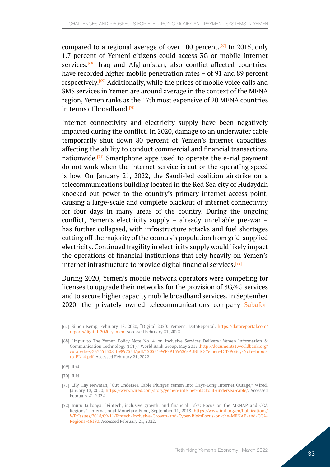compared to a regional average of over 100 percent.<sup>[67]</sup> In 2015, only 1.7 percent of Yemeni citizens could access 3G or mobile internet services.<sup>[68]</sup> Iraq and Afghanistan, also conflict-affected countries, have recorded higher mobile penetration rates – of 91 and 89 percent respectively.[69] Additionally, while the prices of mobile voice calls and SMS services in Yemen are around average in the context of the MENA region, Yemen ranks as the 17th most expensive of 20 MENA countries in terms of broadband.[70]

Internet connectivity and electricity supply have been negatively impacted during the conflict. In 2020, damage to an underwater cable temporarily shut down 80 percent of Yemen's internet capacities, affecting the ability to conduct commercial and financial transactions nationwide.[71] Smartphone apps used to operate the e-rial payment do not work when the internet service is cut or the operating speed is low. On January 21, 2022, the Saudi-led coalition airstrike on a telecommunications building located in the Red Sea city of Hudaydah knocked out power to the country's primary internet access point, causing a large-scale and complete blackout of internet connectivity for four days in many areas of the country. During the ongoing conflict, Yemen's electricity supply – already unreliable pre-war – has further collapsed, with infrastructure attacks and fuel shortages cutting off the majority of the country's population from grid-supplied electricity. Continued fragility in electricity supply would likely impact the operations of financial institutions that rely heavily on Yemen's internet infrastructure to provide digital financial services.[72]

During 2020, Yemen's mobile network operators were competing for licenses to upgrade their networks for the provision of 3G/4G services and to secure higher capacity mobile broadband services. In September 2020, the privately owned telecommunications company [Sabafon](https://sanaacenter.org/publications/the-yemen-review/11678) 

[70] Ibid.

<sup>[67]</sup> Simon Kemp, February 18, 2020, "Digital 2020: Yemen", DataReportal, [https://datareportal.com/](https://datareportal.com/reports/digital-2020-yemen) [reports/digital-2020-yemen](https://datareportal.com/reports/digital-2020-yemen). Accessed February 21, 2022.

<sup>[68]</sup> "Input to The Yemen Policy Note No. 4. on Inclusive Services Delivery: Yemen Information & Communication Technology (ICT)," World Bank Group, May 2017 ,[http://documents1.worldbank.org/](http://documents1.worldbank.org/curated/es/337651508409897554/pdf/120531-WP-P159636-PUBLIC-Yemen-ICT-Policy-Note-Input-to-PN-4.pdf) [curated/es/337651508409897554/pdf/120531-WP-P159636-PUBLIC-Yemen-ICT-Policy-Note-Input](http://documents1.worldbank.org/curated/es/337651508409897554/pdf/120531-WP-P159636-PUBLIC-Yemen-ICT-Policy-Note-Input-to-PN-4.pdf)[to-PN-4.pdf](http://documents1.worldbank.org/curated/es/337651508409897554/pdf/120531-WP-P159636-PUBLIC-Yemen-ICT-Policy-Note-Input-to-PN-4.pdf). Accessed February 21, 2022.

<sup>[69]</sup> Ibid.

<sup>[71]</sup> Lily Hay Newman, "Cut Undersea Cable Plunges Yemen Into Days-Long Internet Outage," Wired, January 13, 2020, <https://www.wired.com/story/yemen-internet-blackout-undersea-cable/>. Accessed February 21, 2022.

<sup>[72]</sup> Inutu Lukonga, "Fintech, inclusive growth, and financial risks: Focus on the MENAP and CCA Regions", International Monetary Fund, September 11, 2018, [https://www.imf.org/en/Publications/](https://www.imf.org/en/Publications/WP/Issues/2018/09/11/Fintech-Inclusive-Growth-and-Cyber-RisksFocus-on-the-MENAP-and-CCA-Regions-46190) [WP/Issues/2018/09/11/Fintech-Inclusive-Growth-and-Cyber-RisksFocus-on-the-MENAP-and-CCA-](https://www.imf.org/en/Publications/WP/Issues/2018/09/11/Fintech-Inclusive-Growth-and-Cyber-RisksFocus-on-the-MENAP-and-CCA-Regions-46190)[Regions-46190.](https://www.imf.org/en/Publications/WP/Issues/2018/09/11/Fintech-Inclusive-Growth-and-Cyber-RisksFocus-on-the-MENAP-and-CCA-Regions-46190) Accessed February 21, 2022.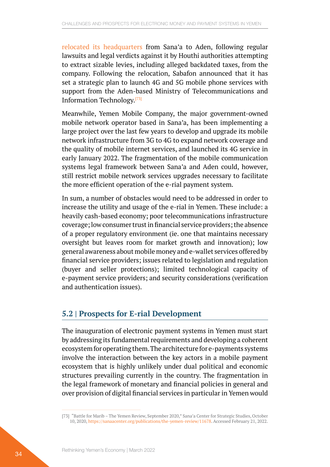<span id="page-33-0"></span>[relocated its headquarters](https://sanaacenter.org/publications/the-yemen-review/11678) from Sana'a to Aden, following regular lawsuits and legal verdicts against it by Houthi authorities attempting to extract sizable levies, including alleged backdated taxes, from the company. Following the relocation, Sabafon announced that it has set a strategic plan to launch 4G and 5G mobile phone services with support from the Aden-based Ministry of Telecommunications and Information Technology.[73]

Meanwhile, Yemen Mobile Company, the major government-owned mobile network operator based in Sana'a, has been implementing a large project over the last few years to develop and upgrade its mobile network infrastructure from 3G to 4G to expand network coverage and the quality of mobile internet services, and launched its 4G service in early January 2022. The fragmentation of the mobile communication systems legal framework between Sana'a and Aden could, however, still restrict mobile network services upgrades necessary to facilitate the more efficient operation of the e-rial payment system.

In sum, a number of obstacles would need to be addressed in order to increase the utility and usage of the e-rial in Yemen. These include: a heavily cash-based economy; poor telecommunications infrastructure coverage; low consumer trust in financial service providers; the absence of a proper regulatory environment (ie. one that maintains necessary oversight but leaves room for market growth and innovation); low general awareness about mobile money and e-wallet services offered by financial service providers; issues related to legislation and regulation (buyer and seller protections); limited technological capacity of e-payment service providers; and security considerations (verification and authentication issues).

### **5.2 | Prospects for E-rial Development**

The inauguration of electronic payment systems in Yemen must start by addressing its fundamental requirements and developing a coherent ecosystem for operating them. The architecture for e-payments systems involve the interaction between the key actors in a mobile payment ecosystem that is highly unlikely under dual political and economic structures prevailing currently in the country. The fragmentation in the legal framework of monetary and financial policies in general and over provision of digital financial services in particular in Yemen would

<sup>[73]</sup> "Battle for Marib – The Yemen Review, September 2020," Sana'a Center for Strategic Studies, October 10, 2020,<https://sanaacenter.org/publications/the-yemen-review/11678>. Accessed February 21, 2022.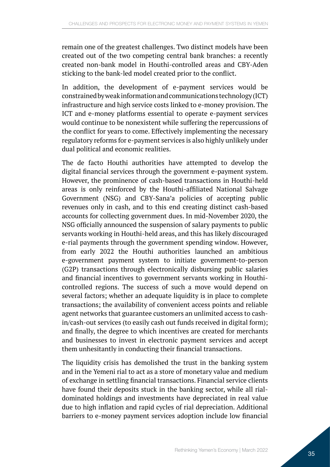remain one of the greatest challenges. Two distinct models have been created out of the two competing central bank branches: a recently created non-bank model in Houthi-controlled areas and CBY-Aden sticking to the bank-led model created prior to the conflict.

In addition, the development of e-payment services would be constrained by weak information and communications technology (ICT) infrastructure and high service costs linked to e-money provision. The ICT and e-money platforms essential to operate e-payment services would continue to be nonexistent while suffering the repercussions of the conflict for years to come. Effectively implementing the necessary regulatory reforms for e-payment services is also highly unlikely under dual political and economic realities.

The de facto Houthi authorities have attempted to develop the digital financial services through the government e-payment system. However, the prominence of cash-based transactions in Houthi-held areas is only reinforced by the Houthi-affiliated National Salvage Government (NSG) and CBY-Sana'a policies of accepting public revenues only in cash, and to this end creating distinct cash-based accounts for collecting government dues. In mid-November 2020, the NSG officially announced the suspension of salary payments to public servants working in Houthi-held areas, and this has likely discouraged e-rial payments through the government spending window. However, from early 2022 the Houthi authorities launched an ambitious e-government payment system to initiate government-to-person (G2P) transactions through electronically disbursing public salaries and financial incentives to government servants working in Houthicontrolled regions. The success of such a move would depend on several factors; whether an adequate liquidity is in place to complete transactions; the availability of convenient access points and reliable agent networks that guarantee customers an unlimited access to cashin/cash-out services (to easily cash out funds received in digital form); and finally, the degree to which incentives are created for merchants and businesses to invest in electronic payment services and accept them unhesitantly in conducting their financial transactions.

The liquidity crisis has demolished the trust in the banking system and in the Yemeni rial to act as a store of monetary value and medium of exchange in settling financial transactions. Financial service clients have found their deposits stuck in the banking sector, while all rialdominated holdings and investments have depreciated in real value due to high inflation and rapid cycles of rial depreciation. Additional barriers to e-money payment services adoption include low financial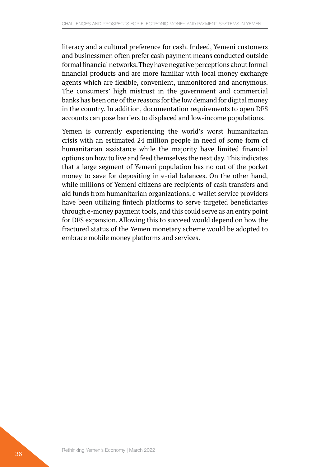literacy and a cultural preference for cash. Indeed, Yemeni customers and businessmen often prefer cash payment means conducted outside formal financial networks. They have negative perceptions about formal financial products and are more familiar with local money exchange agents which are flexible, convenient, unmonitored and anonymous. The consumers' high mistrust in the government and commercial banks has been one of the reasons for the low demand for digital money in the country. In addition, documentation requirements to open DFS accounts can pose barriers to displaced and low-income populations.

Yemen is currently experiencing the world's worst humanitarian crisis with an estimated 24 million people in need of some form of humanitarian assistance while the majority have limited financial options on how to live and feed themselves the next day. This indicates that a large segment of Yemeni population has no out of the pocket money to save for depositing in e-rial balances. On the other hand, while millions of Yemeni citizens are recipients of cash transfers and aid funds from humanitarian organizations, e-wallet service providers have been utilizing fintech platforms to serve targeted beneficiaries through e-money payment tools, and this could serve as an entry point for DFS expansion. Allowing this to succeed would depend on how the fractured status of the Yemen monetary scheme would be adopted to embrace mobile money platforms and services.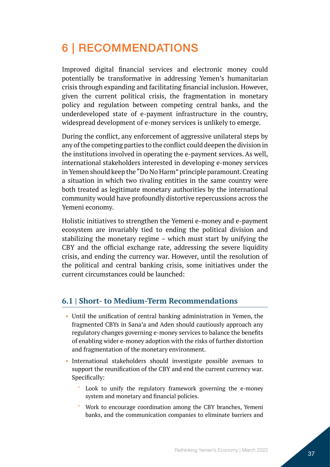## <span id="page-36-0"></span>6 | RECOMMENDATIONS

Improved digital financial services and electronic money could potentially be transformative in addressing Yemen's humanitarian crisis through expanding and facilitating financial inclusion. However, given the current political crisis, the fragmentation in monetary policy and regulation between competing central banks, and the underdeveloped state of e-payment infrastructure in the country, widespread development of e-money services is unlikely to emerge.

During the conflict, any enforcement of aggressive unilateral steps by any of the competing parties to the conflict could deepen the division in the institutions involved in operating the e-payment services. As well, international stakeholders interested in developing e-money services in Yemen should keep the "Do No Harm" principle paramount. Creating a situation in which two rivaling entities in the same country were both treated as legitimate monetary authorities by the international community would have profoundly distortive repercussions across the Yemeni economy.

Holistic initiatives to strengthen the Yemeni e-money and e-payment ecosystem are invariably tied to ending the political division and stabilizing the monetary regime – which must start by unifying the CBY and the official exchange rate, addressing the severe liquidity crisis, and ending the currency war. However, until the resolution of the political and central banking crisis, some initiatives under the current circumstances could be launched:

### **6.1 | Short- to Medium-Term Recommendations**

- Until the unification of central banking administration in Yemen, the fragmented CBYs in Sana'a and Aden should cautiously approach any regulatory changes governing e-money services to balance the benefits of enabling wider e-money adoption with the risks of further distortion and fragmentation of the monetary environment.
- International stakeholders should investigate possible avenues to support the reunification of the CBY and end the current currency war. Specifically:
	- Look to unify the regulatory framework governing the e-money system and monetary and financial policies.
	- ° Work to encourage coordination among the CBY branches, Yemeni banks, and the communication companies to eliminate barriers and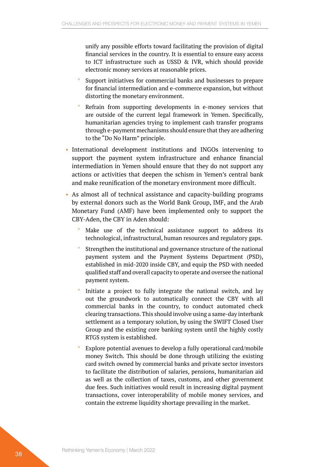unify any possible efforts toward facilitating the provision of digital financial services in the country. It is essential to ensure easy access to ICT infrastructure such as USSD & IVR, which should provide electronic money services at reasonable prices.

- Support initiatives for commercial banks and businesses to prepare for financial intermediation and e-commerce expansion, but without distorting the monetary environment.
- Refrain from supporting developments in e-money services that are outside of the current legal framework in Yemen. Specifically, humanitarian agencies trying to implement cash transfer programs through e-payment mechanisms should ensure that they are adhering to the "Do No Harm" principle.
- International development institutions and INGOs intervening to support the payment system infrastructure and enhance financial intermediation in Yemen should ensure that they do not support any actions or activities that deepen the schism in Yemen's central bank and make reunification of the monetary environment more difficult.
- As almost all of technical assistance and capacity-building programs by external donors such as the World Bank Group, IMF, and the Arab Monetary Fund (AMF) have been implemented only to support the CBY-Aden, the CBY in Aden should:
	- Make use of the technical assistance support to address its technological, infrastructural, human resources and regulatory gaps.
	- Strengthen the institutional and governance structure of the national payment system and the Payment Systems Department (PSD), established in mid-2020 inside CBY, and equip the PSD with needed qualified staff and overall capacity to operate and oversee the national payment system.
	- Initiate a project to fully integrate the national switch, and lay out the groundwork to automatically connect the CBY with all commercial banks in the country, to conduct automated check clearing transactions. This should involve using a same-day interbank settlement as a temporary solution, by using the SWIFT Closed User Group and the existing core banking system until the highly costly RTGS system is established.
	- Explore potential avenues to develop a fully operational card/mobile money Switch. This should be done through utilizing the existing card switch owned by commercial banks and private sector investors to facilitate the distribution of salaries, pensions, humanitarian aid as well as the collection of taxes, customs, and other government due fees. Such initiatives would result in increasing digital payment transactions, cover interoperability of mobile money services, and contain the extreme liquidity shortage prevailing in the market.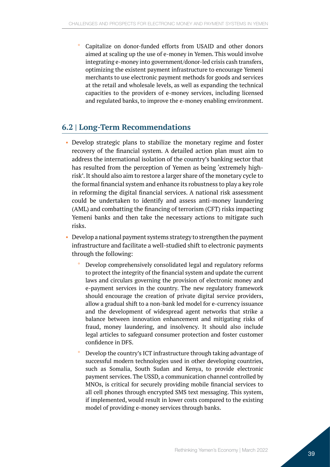<span id="page-38-0"></span>Capitalize on donor-funded efforts from USAID and other donors aimed at scaling up the use of e-money in Yemen. This would involve integrating e-money into government/donor-led crisis cash transfers, optimizing the existent payment infrastructure to encourage Yemeni merchants to use electronic payment methods for goods and services at the retail and wholesale levels, as well as expanding the technical capacities to the providers of e-money services, including licensed and regulated banks, to improve the e-money enabling environment.

#### **6.2 | Long-Term Recommendations**

- Develop strategic plans to stabilize the monetary regime and foster recovery of the financial system. A detailed action plan must aim to address the international isolation of the country's banking sector that has resulted from the perception of Yemen as being 'extremely highrisk'. It should also aim to restore a larger share of the monetary cycle to the formal financial system and enhance its robustness to play a key role in reforming the digital financial services. A national risk assessment could be undertaken to identify and assess anti-money laundering (AML) and combatting the financing of terrorism (CFT) risks impacting Yemeni banks and then take the necessary actions to mitigate such risks.
- Develop a national payment systems strategy to strengthen the payment infrastructure and facilitate a well-studied shift to electronic payments through the following:
	- Develop comprehensively consolidated legal and regulatory reforms to protect the integrity of the financial system and update the current laws and circulars governing the provision of electronic money and e-payment services in the country. The new regulatory framework should encourage the creation of private digital service providers, allow a gradual shift to a non-bank led model for e-currency issuance and the development of widespread agent networks that strike a balance between innovation enhancement and mitigating risks of fraud, money laundering, and insolvency. It should also include legal articles to safeguard consumer protection and foster customer confidence in DFS.
	- ° Develop the country's ICT infrastructure through taking advantage of successful modern technologies used in other developing countries, such as Somalia, South Sudan and Kenya, to provide electronic payment services. The USSD, a communication channel controlled by MNOs, is critical for securely providing mobile financial services to all cell phones through encrypted SMS text messaging. This system, if implemented, would result in lower costs compared to the existing model of providing e-money services through banks.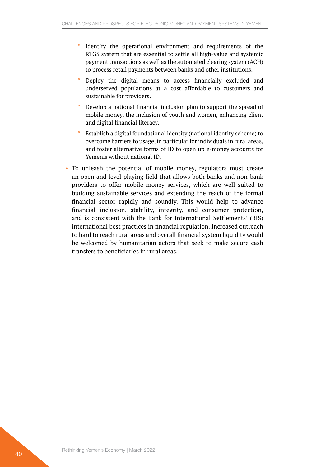- Identify the operational environment and requirements of the RTGS system that are essential to settle all high-value and systemic payment transactions as well as the automated clearing system (ACH) to process retail payments between banks and other institutions.
- Deploy the digital means to access financially excluded and underserved populations at a cost affordable to customers and sustainable for providers.
- ° Develop a national financial inclusion plan to support the spread of mobile money, the inclusion of youth and women, enhancing client and digital financial literacy.
- ° Establish a digital foundational identity (national identity scheme) to overcome barriers to usage, in particular for individuals in rural areas, and foster alternative forms of ID to open up e-money accounts for Yemenis without national ID.
- To unleash the potential of mobile money, regulators must create an open and level playing field that allows both banks and non-bank providers to offer mobile money services, which are well suited to building sustainable services and extending the reach of the formal financial sector rapidly and soundly. This would help to advance financial inclusion, stability, integrity, and consumer protection, and is consistent with the Bank for International Settlements' (BIS) international best practices in financial regulation. Increased outreach to hard to reach rural areas and overall financial system liquidity would be welcomed by humanitarian actors that seek to make secure cash transfers to beneficiaries in rural areas.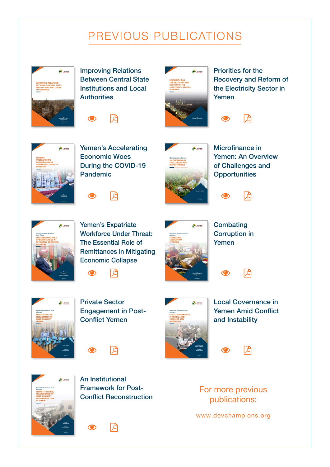# PREVIOUS PUBLICATIONS



Improving Relations Between Central State Institutions and Local **Authorities** 





Priorities for the Recovery and Reform of the Electricity Sector in Yemen

1년



Yemen's Accelerating Economic Woes During the COVID-19 Pandemic





Microfinance in Yemen: An Overview of Challenges and **Opportunities** 

闪



Yemen's Expatriate Workforce Under Threat: The Essential Role of Remittances in Mitigating Economic Collapse



**Combating** Corruption in Yemen



Private Sector Engagement in Post-Conflict Yemen

고

╔



Local Governance in Yemen Amid Conflict and Instability

권

闪



An Institutional Framework for Post-Conflict Reconstruction





For more previous publications:

[www.devchampions.org](https://devchampions.org)